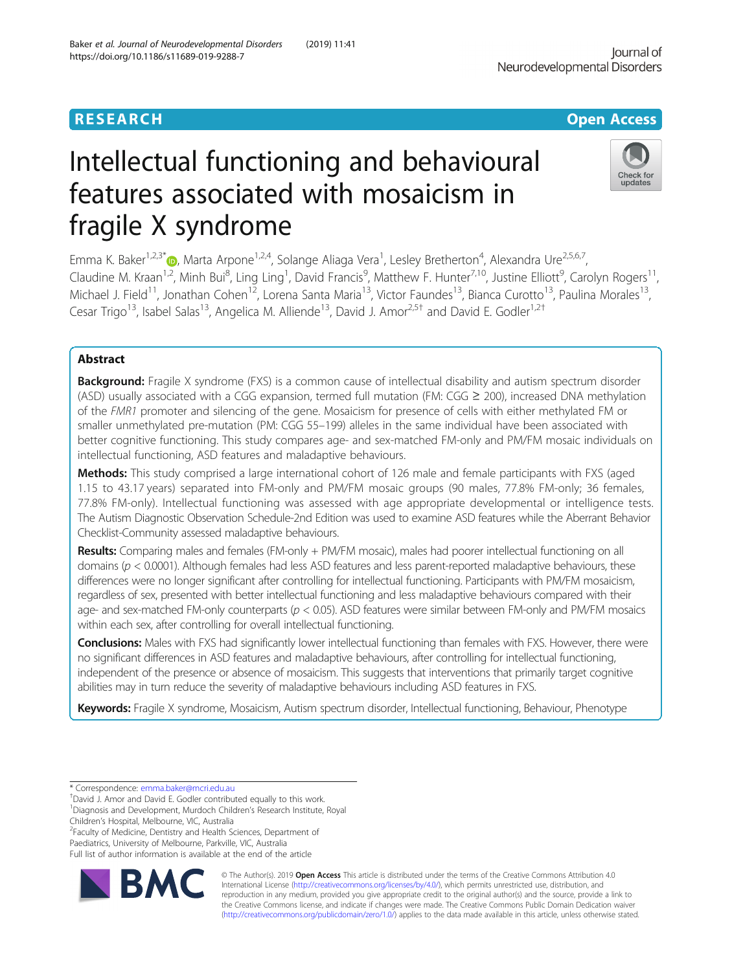Check for undate

# Intellectual functioning and behavioural features associated with mosaicism in fragile X syndrome

Emma K. Baker<sup>1,2,3[\\*](http://orcid.org/0000-0003-1165-0490)</sup>®, Marta Arpone<sup>1,2,4</sup>, Solange Aliaga Vera<sup>1</sup>, Lesley Bretherton<sup>4</sup>, Alexandra Ure<sup>2,5,6,7</sup>, Claudine M. Kraan<sup>1,2</sup>, Minh Bui<sup>8</sup>, Ling Ling<sup>1</sup>, David Francis<sup>9</sup>, Matthew F. Hunter<sup>7,10</sup>, Justine Elliott<sup>9</sup>, Carolyn Rogers<sup>11</sup>, Michael J. Field<sup>11</sup>, Jonathan Cohen<sup>12</sup>, Lorena Santa Maria<sup>13</sup>, Victor Faundes<sup>13</sup>, Bianca Curotto<sup>13</sup>, Paulina Morales<sup>13</sup>, Cesar Trigo<sup>13</sup>, Isabel Salas<sup>13</sup>, Angelica M. Alliende<sup>13</sup>, David J. Amor<sup>2,5†</sup> and David E. Godler<sup>1,2†</sup>

# Abstract

Background: Fragile X syndrome (FXS) is a common cause of intellectual disability and autism spectrum disorder (ASD) usually associated with a CGG expansion, termed full mutation (FM: CGG ≥ 200), increased DNA methylation of the FMR1 promoter and silencing of the gene. Mosaicism for presence of cells with either methylated FM or smaller unmethylated pre-mutation (PM: CGG 55–199) alleles in the same individual have been associated with better cognitive functioning. This study compares age- and sex-matched FM-only and PM/FM mosaic individuals on intellectual functioning, ASD features and maladaptive behaviours.

Methods: This study comprised a large international cohort of 126 male and female participants with FXS (aged 1.15 to 43.17 years) separated into FM-only and PM/FM mosaic groups (90 males, 77.8% FM-only; 36 females, 77.8% FM-only). Intellectual functioning was assessed with age appropriate developmental or intelligence tests. The Autism Diagnostic Observation Schedule-2nd Edition was used to examine ASD features while the Aberrant Behavior Checklist-Community assessed maladaptive behaviours.

Results: Comparing males and females (FM-only + PM/FM mosaic), males had poorer intellectual functioning on all domains ( $p < 0.0001$ ). Although females had less ASD features and less parent-reported maladaptive behaviours, these differences were no longer significant after controlling for intellectual functioning. Participants with PM/FM mosaicism, regardless of sex, presented with better intellectual functioning and less maladaptive behaviours compared with their age- and sex-matched FM-only counterparts ( $p < 0.05$ ). ASD features were similar between FM-only and PM/FM mosaics within each sex, after controlling for overall intellectual functioning.

Conclusions: Males with FXS had significantly lower intellectual functioning than females with FXS. However, there were no significant differences in ASD features and maladaptive behaviours, after controlling for intellectual functioning, independent of the presence or absence of mosaicism. This suggests that interventions that primarily target cognitive abilities may in turn reduce the severity of maladaptive behaviours including ASD features in FXS.

Keywords: Fragile X syndrome, Mosaicism, Autism spectrum disorder, Intellectual functioning, Behaviour, Phenotype

\* Correspondence: [emma.baker@mcri.edu.au](mailto:emma.baker@mcri.edu.au) †

<sup>+</sup>David J. Amor and David E. Godler contributed equally to this work.

<sup>1</sup>Diagnosis and Development, Murdoch Children's Research Institute, Royal Children's Hospital, Melbourne, VIC, Australia <sup>2</sup>

<sup>2</sup>Faculty of Medicine, Dentistry and Health Sciences, Department of Paediatrics, University of Melbourne, Parkville, VIC, Australia

Full list of author information is available at the end of the article



© The Author(s). 2019 **Open Access** This article is distributed under the terms of the Creative Commons Attribution 4.0 International License [\(http://creativecommons.org/licenses/by/4.0/](http://creativecommons.org/licenses/by/4.0/)), which permits unrestricted use, distribution, and reproduction in any medium, provided you give appropriate credit to the original author(s) and the source, provide a link to the Creative Commons license, and indicate if changes were made. The Creative Commons Public Domain Dedication waiver [\(http://creativecommons.org/publicdomain/zero/1.0/](http://creativecommons.org/publicdomain/zero/1.0/)) applies to the data made available in this article, unless otherwise stated.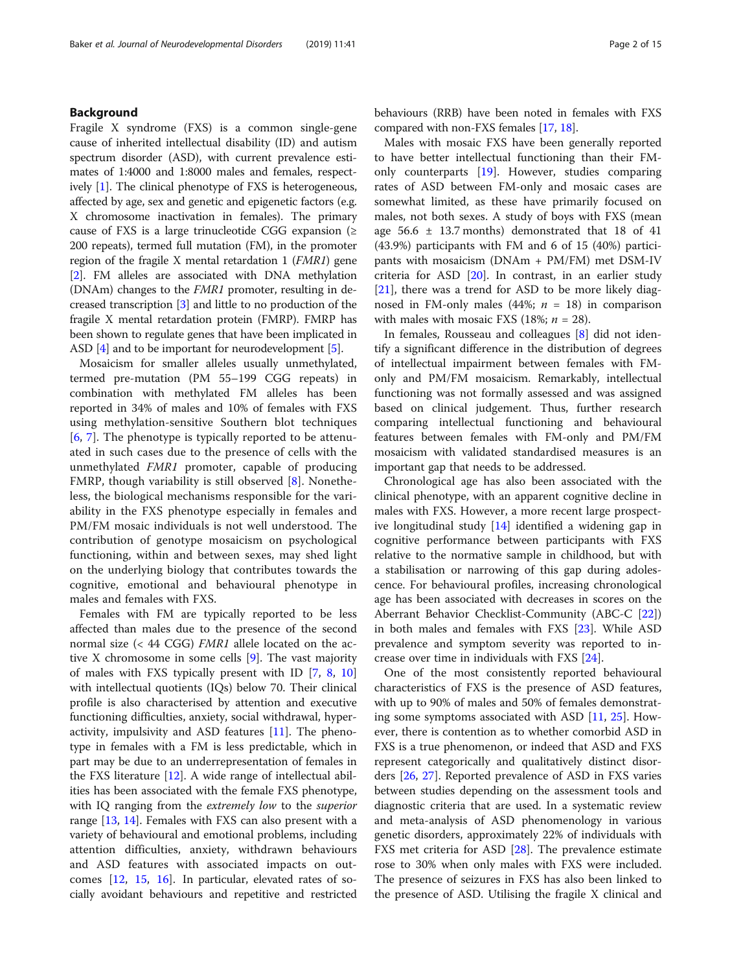# Background

Fragile X syndrome (FXS) is a common single-gene cause of inherited intellectual disability (ID) and autism spectrum disorder (ASD), with current prevalence estimates of 1:4000 and 1:8000 males and females, respectively [\[1\]](#page-12-0). The clinical phenotype of FXS is heterogeneous, affected by age, sex and genetic and epigenetic factors (e.g. X chromosome inactivation in females). The primary cause of FXS is a large trinucleotide CGG expansion  $($ 200 repeats), termed full mutation (FM), in the promoter region of the fragile X mental retardation 1 (FMR1) gene [[2\]](#page-12-0). FM alleles are associated with DNA methylation (DNAm) changes to the FMR1 promoter, resulting in decreased transcription [[3](#page-12-0)] and little to no production of the fragile X mental retardation protein (FMRP). FMRP has been shown to regulate genes that have been implicated in ASD [\[4](#page-12-0)] and to be important for neurodevelopment [[5](#page-12-0)].

Mosaicism for smaller alleles usually unmethylated, termed pre-mutation (PM 55–199 CGG repeats) in combination with methylated FM alleles has been reported in 34% of males and 10% of females with FXS using methylation-sensitive Southern blot techniques [[6,](#page-12-0) [7](#page-12-0)]. The phenotype is typically reported to be attenuated in such cases due to the presence of cells with the unmethylated FMR1 promoter, capable of producing FMRP, though variability is still observed [\[8](#page-12-0)]. Nonetheless, the biological mechanisms responsible for the variability in the FXS phenotype especially in females and PM/FM mosaic individuals is not well understood. The contribution of genotype mosaicism on psychological functioning, within and between sexes, may shed light on the underlying biology that contributes towards the cognitive, emotional and behavioural phenotype in males and females with FXS.

Females with FM are typically reported to be less affected than males due to the presence of the second normal size (< 44 CGG) FMR1 allele located on the active X chromosome in some cells [\[9](#page-12-0)]. The vast majority of males with FXS typically present with ID [\[7](#page-12-0), [8,](#page-12-0) [10](#page-12-0)] with intellectual quotients (IQs) below 70. Their clinical profile is also characterised by attention and executive functioning difficulties, anxiety, social withdrawal, hyperactivity, impulsivity and ASD features [\[11\]](#page-12-0). The phenotype in females with a FM is less predictable, which in part may be due to an underrepresentation of females in the FXS literature [[12](#page-12-0)]. A wide range of intellectual abilities has been associated with the female FXS phenotype, with IQ ranging from the *extremely low* to the *superior* range [[13](#page-12-0), [14](#page-13-0)]. Females with FXS can also present with a variety of behavioural and emotional problems, including attention difficulties, anxiety, withdrawn behaviours and ASD features with associated impacts on outcomes [[12,](#page-12-0) [15,](#page-13-0) [16](#page-13-0)]. In particular, elevated rates of socially avoidant behaviours and repetitive and restricted behaviours (RRB) have been noted in females with FXS compared with non-FXS females [[17](#page-13-0), [18\]](#page-13-0).

Males with mosaic FXS have been generally reported to have better intellectual functioning than their FMonly counterparts [\[19](#page-13-0)]. However, studies comparing rates of ASD between FM-only and mosaic cases are somewhat limited, as these have primarily focused on males, not both sexes. A study of boys with FXS (mean age  $56.6 \pm 13.7$  months) demonstrated that 18 of 41 (43.9%) participants with FM and 6 of 15 (40%) participants with mosaicism (DNAm + PM/FM) met DSM-IV criteria for ASD [\[20\]](#page-13-0). In contrast, in an earlier study [[21\]](#page-13-0), there was a trend for ASD to be more likely diagnosed in FM-only males (44%;  $n = 18$ ) in comparison with males with mosaic FXS (18%;  $n = 28$ ).

In females, Rousseau and colleagues [\[8](#page-12-0)] did not identify a significant difference in the distribution of degrees of intellectual impairment between females with FMonly and PM/FM mosaicism. Remarkably, intellectual functioning was not formally assessed and was assigned based on clinical judgement. Thus, further research comparing intellectual functioning and behavioural features between females with FM-only and PM/FM mosaicism with validated standardised measures is an important gap that needs to be addressed.

Chronological age has also been associated with the clinical phenotype, with an apparent cognitive decline in males with FXS. However, a more recent large prospective longitudinal study [[14](#page-13-0)] identified a widening gap in cognitive performance between participants with FXS relative to the normative sample in childhood, but with a stabilisation or narrowing of this gap during adolescence. For behavioural profiles, increasing chronological age has been associated with decreases in scores on the Aberrant Behavior Checklist-Community (ABC-C [\[22](#page-13-0)]) in both males and females with FXS [\[23](#page-13-0)]. While ASD prevalence and symptom severity was reported to increase over time in individuals with FXS [\[24](#page-13-0)].

One of the most consistently reported behavioural characteristics of FXS is the presence of ASD features, with up to 90% of males and 50% of females demonstrating some symptoms associated with ASD [[11,](#page-12-0) [25\]](#page-13-0). However, there is contention as to whether comorbid ASD in FXS is a true phenomenon, or indeed that ASD and FXS represent categorically and qualitatively distinct disorders [\[26](#page-13-0), [27\]](#page-13-0). Reported prevalence of ASD in FXS varies between studies depending on the assessment tools and diagnostic criteria that are used. In a systematic review and meta-analysis of ASD phenomenology in various genetic disorders, approximately 22% of individuals with FXS met criteria for ASD [[28](#page-13-0)]. The prevalence estimate rose to 30% when only males with FXS were included. The presence of seizures in FXS has also been linked to the presence of ASD. Utilising the fragile X clinical and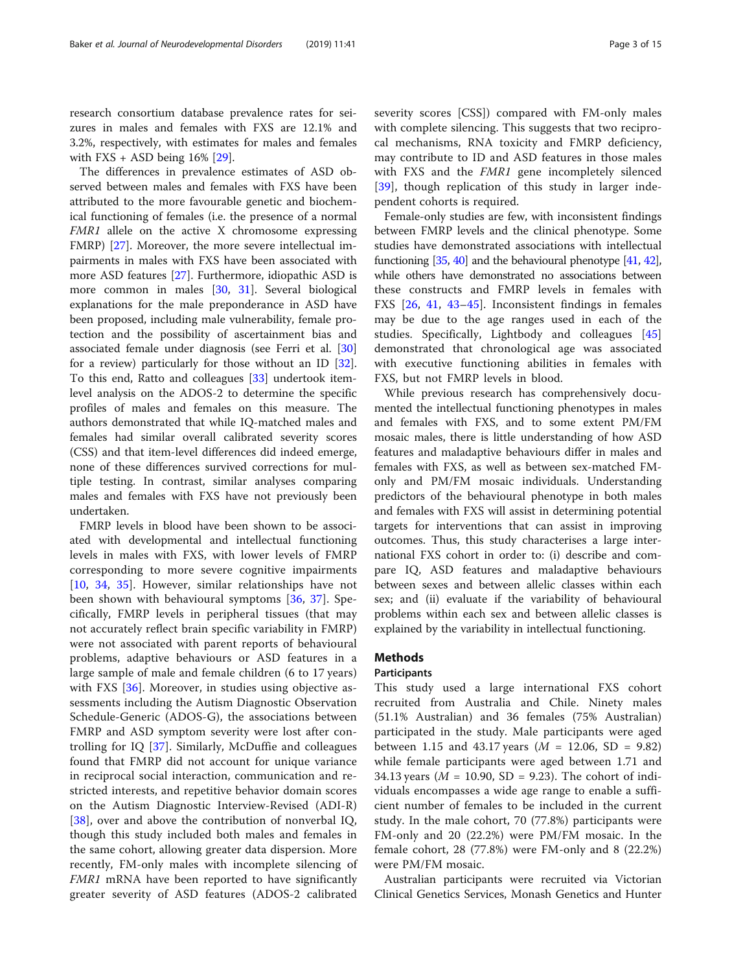research consortium database prevalence rates for seizures in males and females with FXS are 12.1% and 3.2%, respectively, with estimates for males and females with  $FXS + ASD$  being  $16\%$  [[29\]](#page-13-0).

The differences in prevalence estimates of ASD observed between males and females with FXS have been attributed to the more favourable genetic and biochemical functioning of females (i.e. the presence of a normal FMR1 allele on the active X chromosome expressing FMRP) [[27](#page-13-0)]. Moreover, the more severe intellectual impairments in males with FXS have been associated with more ASD features [\[27\]](#page-13-0). Furthermore, idiopathic ASD is more common in males [[30](#page-13-0), [31\]](#page-13-0). Several biological explanations for the male preponderance in ASD have been proposed, including male vulnerability, female protection and the possibility of ascertainment bias and associated female under diagnosis (see Ferri et al. [[30](#page-13-0)] for a review) particularly for those without an ID [\[32](#page-13-0)]. To this end, Ratto and colleagues [[33](#page-13-0)] undertook itemlevel analysis on the ADOS-2 to determine the specific profiles of males and females on this measure. The authors demonstrated that while IQ-matched males and females had similar overall calibrated severity scores (CSS) and that item-level differences did indeed emerge, none of these differences survived corrections for multiple testing. In contrast, similar analyses comparing males and females with FXS have not previously been undertaken.

FMRP levels in blood have been shown to be associated with developmental and intellectual functioning levels in males with FXS, with lower levels of FMRP corresponding to more severe cognitive impairments [[10,](#page-12-0) [34](#page-13-0), [35\]](#page-13-0). However, similar relationships have not been shown with behavioural symptoms [\[36](#page-13-0), [37](#page-13-0)]. Specifically, FMRP levels in peripheral tissues (that may not accurately reflect brain specific variability in FMRP) were not associated with parent reports of behavioural problems, adaptive behaviours or ASD features in a large sample of male and female children (6 to 17 years) with FXS [[36\]](#page-13-0). Moreover, in studies using objective assessments including the Autism Diagnostic Observation Schedule-Generic (ADOS-G), the associations between FMRP and ASD symptom severity were lost after controlling for IQ [\[37](#page-13-0)]. Similarly, McDuffie and colleagues found that FMRP did not account for unique variance in reciprocal social interaction, communication and restricted interests, and repetitive behavior domain scores on the Autism Diagnostic Interview-Revised (ADI-R) [[38\]](#page-13-0), over and above the contribution of nonverbal IQ, though this study included both males and females in the same cohort, allowing greater data dispersion. More recently, FM-only males with incomplete silencing of **FMR1** mRNA have been reported to have significantly greater severity of ASD features (ADOS-2 calibrated severity scores [CSS]) compared with FM-only males with complete silencing. This suggests that two reciprocal mechanisms, RNA toxicity and FMRP deficiency, may contribute to ID and ASD features in those males with FXS and the FMR1 gene incompletely silenced [[39\]](#page-13-0), though replication of this study in larger independent cohorts is required.

Female-only studies are few, with inconsistent findings between FMRP levels and the clinical phenotype. Some studies have demonstrated associations with intellectual functioning [[35](#page-13-0), [40](#page-13-0)] and the behavioural phenotype [\[41](#page-13-0), [42\]](#page-13-0), while others have demonstrated no associations between these constructs and FMRP levels in females with FXS [[26,](#page-13-0) [41](#page-13-0), [43](#page-13-0)–[45](#page-13-0)]. Inconsistent findings in females may be due to the age ranges used in each of the studies. Specifically, Lightbody and colleagues [\[45](#page-13-0)] demonstrated that chronological age was associated with executive functioning abilities in females with FXS, but not FMRP levels in blood.

While previous research has comprehensively documented the intellectual functioning phenotypes in males and females with FXS, and to some extent PM/FM mosaic males, there is little understanding of how ASD features and maladaptive behaviours differ in males and females with FXS, as well as between sex-matched FMonly and PM/FM mosaic individuals. Understanding predictors of the behavioural phenotype in both males and females with FXS will assist in determining potential targets for interventions that can assist in improving outcomes. Thus, this study characterises a large international FXS cohort in order to: (i) describe and compare IQ, ASD features and maladaptive behaviours between sexes and between allelic classes within each sex; and (ii) evaluate if the variability of behavioural problems within each sex and between allelic classes is explained by the variability in intellectual functioning.

# Methods

# Participants

This study used a large international FXS cohort recruited from Australia and Chile. Ninety males (51.1% Australian) and 36 females (75% Australian) participated in the study. Male participants were aged between 1.15 and 43.17 years  $(M = 12.06, SD = 9.82)$ while female participants were aged between 1.71 and 34.13 years ( $M = 10.90$ , SD = 9.23). The cohort of individuals encompasses a wide age range to enable a sufficient number of females to be included in the current study. In the male cohort, 70 (77.8%) participants were FM-only and 20 (22.2%) were PM/FM mosaic. In the female cohort, 28 (77.8%) were FM-only and 8 (22.2%) were PM/FM mosaic.

Australian participants were recruited via Victorian Clinical Genetics Services, Monash Genetics and Hunter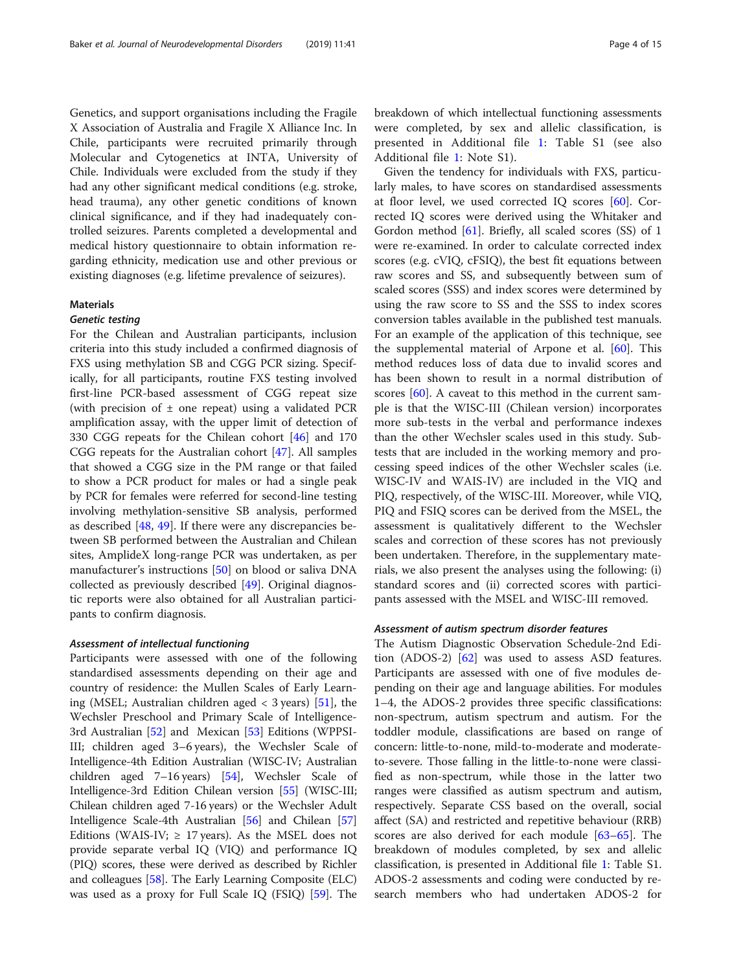Genetics, and support organisations including the Fragile X Association of Australia and Fragile X Alliance Inc. In Chile, participants were recruited primarily through Molecular and Cytogenetics at INTA, University of Chile. Individuals were excluded from the study if they had any other significant medical conditions (e.g. stroke, head trauma), any other genetic conditions of known clinical significance, and if they had inadequately controlled seizures. Parents completed a developmental and medical history questionnaire to obtain information regarding ethnicity, medication use and other previous or existing diagnoses (e.g. lifetime prevalence of seizures).

# Materials

# Genetic testing

For the Chilean and Australian participants, inclusion criteria into this study included a confirmed diagnosis of FXS using methylation SB and CGG PCR sizing. Specifically, for all participants, routine FXS testing involved first-line PCR-based assessment of CGG repeat size (with precision of  $\pm$  one repeat) using a validated PCR amplification assay, with the upper limit of detection of 330 CGG repeats for the Chilean cohort [[46\]](#page-13-0) and 170 CGG repeats for the Australian cohort [\[47\]](#page-13-0). All samples that showed a CGG size in the PM range or that failed to show a PCR product for males or had a single peak by PCR for females were referred for second-line testing involving methylation-sensitive SB analysis, performed as described [\[48](#page-13-0), [49](#page-13-0)]. If there were any discrepancies between SB performed between the Australian and Chilean sites, AmplideX long-range PCR was undertaken, as per manufacturer's instructions [[50](#page-13-0)] on blood or saliva DNA collected as previously described [[49](#page-13-0)]. Original diagnostic reports were also obtained for all Australian participants to confirm diagnosis.

#### Assessment of intellectual functioning

Participants were assessed with one of the following standardised assessments depending on their age and country of residence: the Mullen Scales of Early Learning (MSEL; Australian children aged  $<$  3 years) [[51\]](#page-13-0), the Wechsler Preschool and Primary Scale of Intelligence-3rd Australian [\[52](#page-13-0)] and Mexican [[53\]](#page-13-0) Editions (WPPSI-III; children aged 3–6 years), the Wechsler Scale of Intelligence-4th Edition Australian (WISC-IV; Australian children aged 7–16 years) [\[54\]](#page-13-0), Wechsler Scale of Intelligence-3rd Edition Chilean version [\[55\]](#page-13-0) (WISC-III; Chilean children aged 7-16 years) or the Wechsler Adult Intelligence Scale-4th Australian [\[56\]](#page-13-0) and Chilean [[57](#page-13-0)] Editions (WAIS-IV;  $\geq$  17 years). As the MSEL does not provide separate verbal IQ (VIQ) and performance IQ (PIQ) scores, these were derived as described by Richler and colleagues [[58](#page-13-0)]. The Early Learning Composite (ELC) was used as a proxy for Full Scale IQ (FSIQ) [\[59](#page-13-0)]. The

breakdown of which intellectual functioning assessments were completed, by sex and allelic classification, is presented in Additional file [1:](#page-11-0) Table S1 (see also Additional file [1](#page-11-0): Note S1).

Given the tendency for individuals with FXS, particularly males, to have scores on standardised assessments at floor level, we used corrected IQ scores [\[60](#page-13-0)]. Corrected IQ scores were derived using the Whitaker and Gordon method [[61\]](#page-13-0). Briefly, all scaled scores (SS) of 1 were re-examined. In order to calculate corrected index scores (e.g. cVIQ, cFSIQ), the best fit equations between raw scores and SS, and subsequently between sum of scaled scores (SSS) and index scores were determined by using the raw score to SS and the SSS to index scores conversion tables available in the published test manuals. For an example of the application of this technique, see the supplemental material of Arpone et al. [\[60\]](#page-13-0). This method reduces loss of data due to invalid scores and has been shown to result in a normal distribution of scores [\[60](#page-13-0)]. A caveat to this method in the current sample is that the WISC-III (Chilean version) incorporates more sub-tests in the verbal and performance indexes than the other Wechsler scales used in this study. Subtests that are included in the working memory and processing speed indices of the other Wechsler scales (i.e. WISC-IV and WAIS-IV) are included in the VIQ and PIQ, respectively, of the WISC-III. Moreover, while VIQ, PIQ and FSIQ scores can be derived from the MSEL, the assessment is qualitatively different to the Wechsler scales and correction of these scores has not previously been undertaken. Therefore, in the supplementary materials, we also present the analyses using the following: (i) standard scores and (ii) corrected scores with participants assessed with the MSEL and WISC-III removed.

# Assessment of autism spectrum disorder features

The Autism Diagnostic Observation Schedule-2nd Edition (ADOS-2) [[62\]](#page-13-0) was used to assess ASD features. Participants are assessed with one of five modules depending on their age and language abilities. For modules 1–4, the ADOS-2 provides three specific classifications: non-spectrum, autism spectrum and autism. For the toddler module, classifications are based on range of concern: little-to-none, mild-to-moderate and moderateto-severe. Those falling in the little-to-none were classified as non-spectrum, while those in the latter two ranges were classified as autism spectrum and autism, respectively. Separate CSS based on the overall, social affect (SA) and restricted and repetitive behaviour (RRB) scores are also derived for each module [[63](#page-13-0)–[65](#page-14-0)]. The breakdown of modules completed, by sex and allelic classification, is presented in Additional file [1](#page-11-0): Table S1. ADOS-2 assessments and coding were conducted by research members who had undertaken ADOS-2 for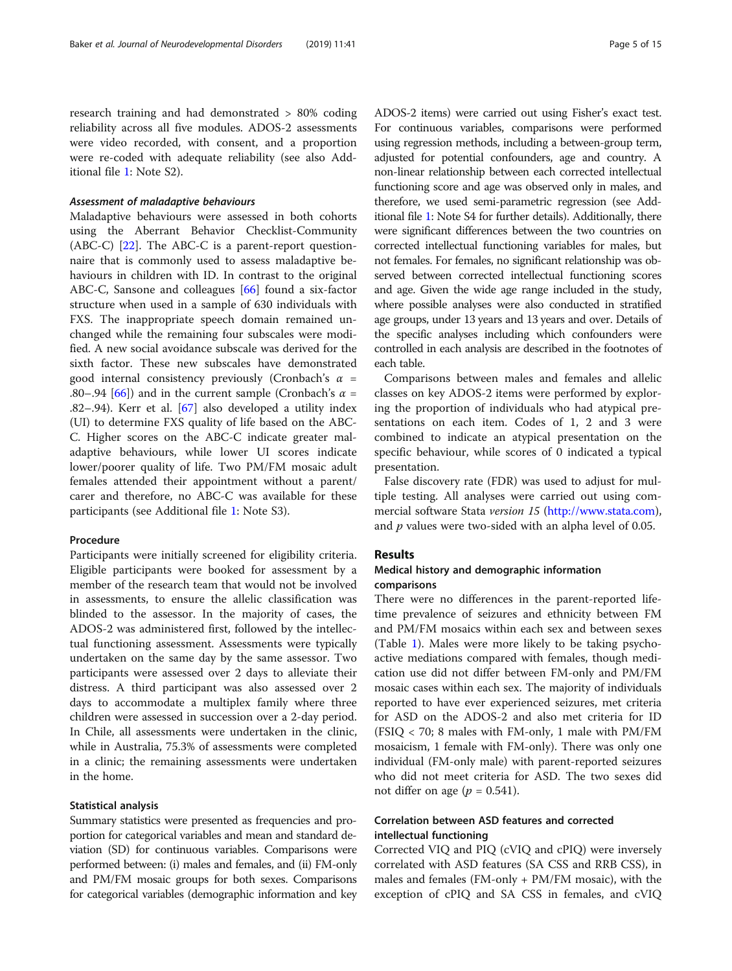research training and had demonstrated > 80% coding reliability across all five modules. ADOS-2 assessments were video recorded, with consent, and a proportion were re-coded with adequate reliability (see also Additional file [1:](#page-11-0) Note S2).

# Assessment of maladaptive behaviours

Maladaptive behaviours were assessed in both cohorts using the Aberrant Behavior Checklist-Community (ABC-C) [\[22\]](#page-13-0). The ABC-C is a parent-report questionnaire that is commonly used to assess maladaptive behaviours in children with ID. In contrast to the original ABC-C, Sansone and colleagues [\[66](#page-14-0)] found a six-factor structure when used in a sample of 630 individuals with FXS. The inappropriate speech domain remained unchanged while the remaining four subscales were modified. A new social avoidance subscale was derived for the sixth factor. These new subscales have demonstrated good internal consistency previously (Cronbach's  $\alpha$  = .80–.94 [\[66\]](#page-14-0)) and in the current sample (Cronbach's  $\alpha$  = .82–.94). Kerr et al. [[67\]](#page-14-0) also developed a utility index (UI) to determine FXS quality of life based on the ABC-C. Higher scores on the ABC-C indicate greater maladaptive behaviours, while lower UI scores indicate lower/poorer quality of life. Two PM/FM mosaic adult females attended their appointment without a parent/ carer and therefore, no ABC-C was available for these participants (see Additional file [1:](#page-11-0) Note S3).

# Procedure

Participants were initially screened for eligibility criteria. Eligible participants were booked for assessment by a member of the research team that would not be involved in assessments, to ensure the allelic classification was blinded to the assessor. In the majority of cases, the ADOS-2 was administered first, followed by the intellectual functioning assessment. Assessments were typically undertaken on the same day by the same assessor. Two participants were assessed over 2 days to alleviate their distress. A third participant was also assessed over 2 days to accommodate a multiplex family where three children were assessed in succession over a 2-day period. In Chile, all assessments were undertaken in the clinic, while in Australia, 75.3% of assessments were completed in a clinic; the remaining assessments were undertaken in the home.

# Statistical analysis

Summary statistics were presented as frequencies and proportion for categorical variables and mean and standard deviation (SD) for continuous variables. Comparisons were performed between: (i) males and females, and (ii) FM-only and PM/FM mosaic groups for both sexes. Comparisons for categorical variables (demographic information and key ADOS-2 items) were carried out using Fisher's exact test. For continuous variables, comparisons were performed using regression methods, including a between-group term, adjusted for potential confounders, age and country. A non-linear relationship between each corrected intellectual functioning score and age was observed only in males, and therefore, we used semi-parametric regression (see Additional file [1:](#page-11-0) Note S4 for further details). Additionally, there were significant differences between the two countries on corrected intellectual functioning variables for males, but not females. For females, no significant relationship was observed between corrected intellectual functioning scores and age. Given the wide age range included in the study, where possible analyses were also conducted in stratified age groups, under 13 years and 13 years and over. Details of the specific analyses including which confounders were controlled in each analysis are described in the footnotes of each table.

Comparisons between males and females and allelic classes on key ADOS-2 items were performed by exploring the proportion of individuals who had atypical presentations on each item. Codes of 1, 2 and 3 were combined to indicate an atypical presentation on the specific behaviour, while scores of 0 indicated a typical presentation.

False discovery rate (FDR) was used to adjust for multiple testing. All analyses were carried out using commercial software Stata version 15 (<http://www.stata.com>), and  $p$  values were two-sided with an alpha level of 0.05.

# Results

# Medical history and demographic information comparisons

There were no differences in the parent-reported lifetime prevalence of seizures and ethnicity between FM and PM/FM mosaics within each sex and between sexes (Table [1\)](#page-5-0). Males were more likely to be taking psychoactive mediations compared with females, though medication use did not differ between FM-only and PM/FM mosaic cases within each sex. The majority of individuals reported to have ever experienced seizures, met criteria for ASD on the ADOS-2 and also met criteria for ID (FSIQ < 70; 8 males with FM-only, 1 male with PM/FM mosaicism, 1 female with FM-only). There was only one individual (FM-only male) with parent-reported seizures who did not meet criteria for ASD. The two sexes did not differ on age ( $p = 0.541$ ).

# Correlation between ASD features and corrected intellectual functioning

Corrected VIQ and PIQ (cVIQ and cPIQ) were inversely correlated with ASD features (SA CSS and RRB CSS), in males and females (FM-only + PM/FM mosaic), with the exception of cPIQ and SA CSS in females, and cVIQ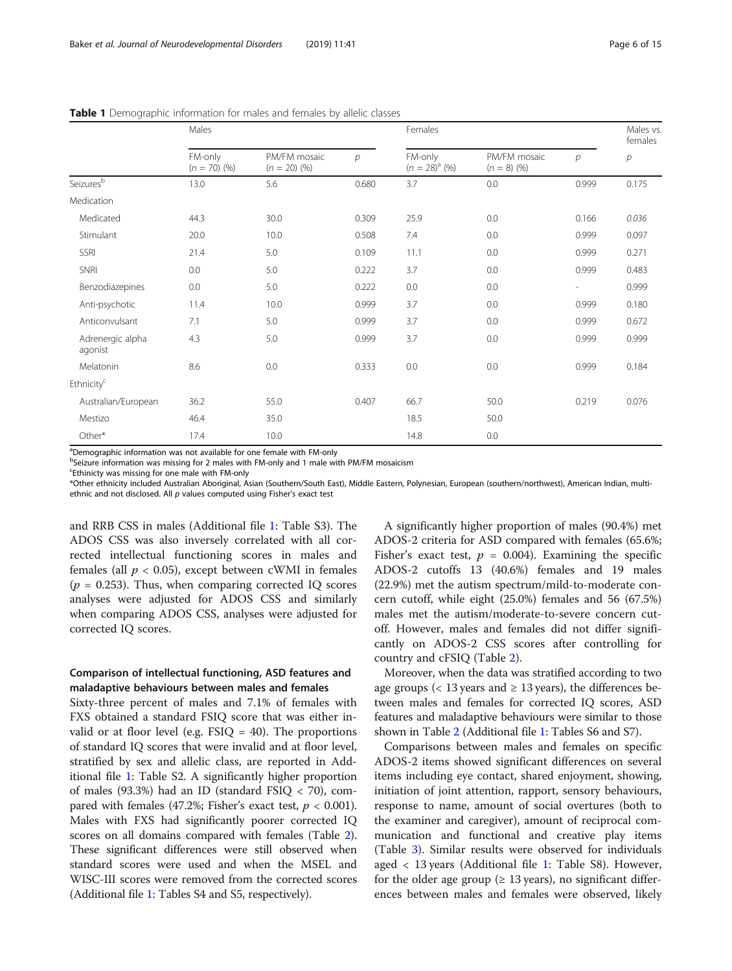|                             | Males                     |                                |                | Females                       |                               |                          | Males vs.<br>females |
|-----------------------------|---------------------------|--------------------------------|----------------|-------------------------------|-------------------------------|--------------------------|----------------------|
|                             | FM-only<br>$(n = 70)$ (%) | PM/FM mosaic<br>$(n = 20)$ (%) | $\overline{p}$ | FM-only<br>$(n = 28)^{a}$ (%) | PM/FM mosaic<br>$(n = 8)$ (%) | р                        | $\boldsymbol{p}$     |
| Seizures <sup>b</sup>       | 13.0                      | 5.6                            | 0.680          | 3.7                           | 0.0                           | 0.999                    | 0.175                |
| Medication                  |                           |                                |                |                               |                               |                          |                      |
| Medicated                   | 44.3                      | 30.0                           | 0.309          | 25.9                          | 0.0                           | 0.166                    | 0.036                |
| Stimulant                   | 20.0                      | 10.0                           | 0.508          | 7.4                           | 0.0                           | 0.999                    | 0.097                |
| SSRI                        | 21.4                      | 5.0                            | 0.109          | 11.1                          | 0.0                           | 0.999                    | 0.271                |
| SNRI                        | 0.0                       | 5.0                            | 0.222          | 3.7                           | 0.0                           | 0.999                    | 0.483                |
| Benzodiazepines             | 0.0                       | 5.0                            | 0.222          | 0.0                           | 0.0                           | $\overline{\phantom{a}}$ | 0.999                |
| Anti-psychotic              | 11.4                      | 10.0                           | 0.999          | 3.7                           | 0.0                           | 0.999                    | 0.180                |
| Anticonvulsant              | 7.1                       | 5.0                            | 0.999          | 3.7                           | 0.0                           | 0.999                    | 0.672                |
| Adrenergic alpha<br>agonist | 4.3                       | 5.0                            | 0.999          | 3.7                           | 0.0                           | 0.999                    | 0.999                |
| Melatonin                   | 8.6                       | 0.0                            | 0.333          | 0.0                           | 0.0                           | 0.999                    | 0.184                |
| Ethnicity <sup>c</sup>      |                           |                                |                |                               |                               |                          |                      |
| Australian/European         | 36.2                      | 55.0                           | 0.407          | 66.7                          | 50.0                          | 0.219                    | 0.076                |
| Mestizo                     | 46.4                      | 35.0                           |                | 18.5                          | 50.0                          |                          |                      |
| Other*                      | 17.4                      | 10.0                           |                | 14.8                          | 0.0                           |                          |                      |

<span id="page-5-0"></span>Table 1 Demographic information for males and females by allelic classes

<sup>a</sup>Demographic information was not available for one female with FM-only

<sup>b</sup>Seizure information was missing for 2 males with FM-only and 1 male with PM/FM mosaicism

Ethinicty was missing for one male with FM-only

\*Other ethnicity included Australian Aboriginal, Asian (Southern/South East), Middle Eastern, Polynesian, European (southern/northwest), American Indian, multiethnic and not disclosed. All  $p$  values computed using Fisher's exact test

and RRB CSS in males (Additional file [1](#page-11-0): Table S3). The ADOS CSS was also inversely correlated with all corrected intellectual functioning scores in males and females (all  $p < 0.05$ ), except between cWMI in females  $(p = 0.253)$ . Thus, when comparing corrected IQ scores analyses were adjusted for ADOS CSS and similarly when comparing ADOS CSS, analyses were adjusted for corrected IQ scores.

# Comparison of intellectual functioning, ASD features and maladaptive behaviours between males and females

Sixty-three percent of males and 7.1% of females with FXS obtained a standard FSIQ score that was either invalid or at floor level (e.g.  $FSIQ = 40$ ). The proportions of standard IQ scores that were invalid and at floor level, stratified by sex and allelic class, are reported in Additional file [1](#page-11-0): Table S2. A significantly higher proportion of males (93.3%) had an ID (standard FSIQ < 70), compared with females (47.2%; Fisher's exact test,  $p < 0.001$ ). Males with FXS had significantly poorer corrected IQ scores on all domains compared with females (Table [2](#page-6-0)). These significant differences were still observed when standard scores were used and when the MSEL and WISC-III scores were removed from the corrected scores (Additional file [1](#page-11-0): Tables S4 and S5, respectively).

A significantly higher proportion of males (90.4%) met ADOS-2 criteria for ASD compared with females (65.6%; Fisher's exact test,  $p = 0.004$ ). Examining the specific ADOS-2 cutoffs 13 (40.6%) females and 19 males (22.9%) met the autism spectrum/mild-to-moderate concern cutoff, while eight (25.0%) females and 56 (67.5%) males met the autism/moderate-to-severe concern cutoff. However, males and females did not differ significantly on ADOS-2 CSS scores after controlling for country and cFSIQ (Table [2\)](#page-6-0).

Moreover, when the data was stratified according to two age groups (< 13 years and  $\geq$  13 years), the differences between males and females for corrected IQ scores, ASD features and maladaptive behaviours were similar to those shown in Table [2](#page-6-0) (Additional file [1:](#page-11-0) Tables S6 and S7).

Comparisons between males and females on specific ADOS-2 items showed significant differences on several items including eye contact, shared enjoyment, showing, initiation of joint attention, rapport, sensory behaviours, response to name, amount of social overtures (both to the examiner and caregiver), amount of reciprocal communication and functional and creative play items (Table [3](#page-7-0)). Similar results were observed for individuals aged < 13 years (Additional file [1:](#page-11-0) Table S8). However, for the older age group ( $\geq$  13 years), no significant differences between males and females were observed, likely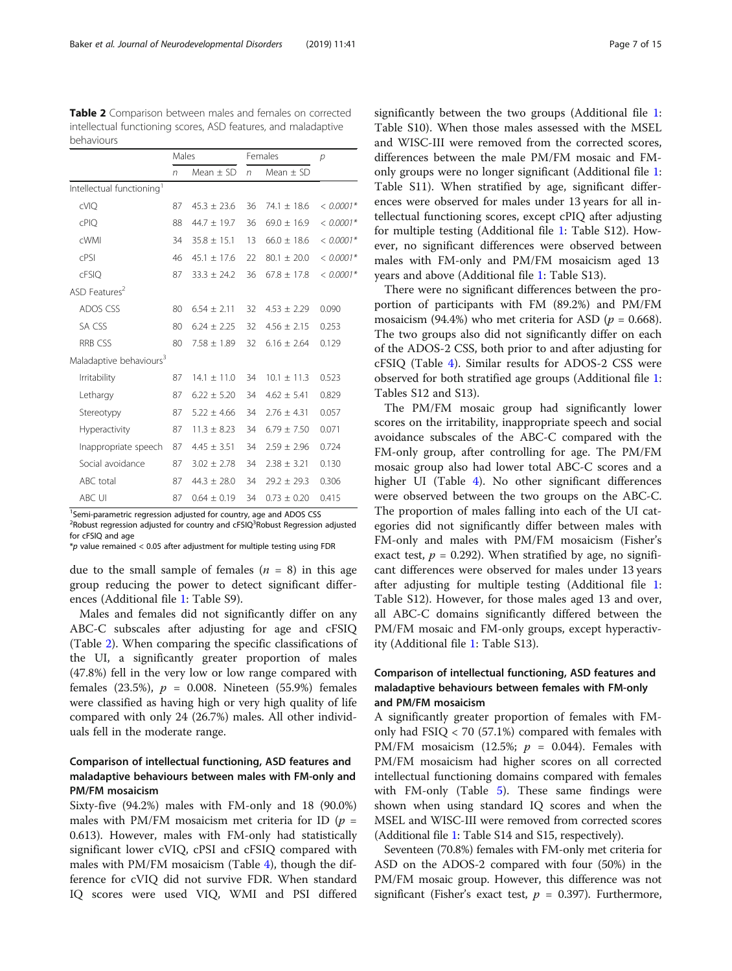<span id="page-6-0"></span>

| Table 2 Comparison between males and females on corrected      |  |
|----------------------------------------------------------------|--|
| intellectual functioning scores, ASD features, and maladaptive |  |
| behaviours                                                     |  |

|                                       | Males      |                 | Females |                 | p                       |
|---------------------------------------|------------|-----------------|---------|-----------------|-------------------------|
|                                       | $\sqrt{n}$ | Mean $\pm$ SD   | n       | Mean $\pm$ SD   |                         |
| Intellectual functioning <sup>1</sup> |            |                 |         |                 |                         |
| cVIO                                  | 87         | $45.3 \pm 23.6$ | 36      | $74.1 + 18.6$   | $< 0.0001$ <sup>*</sup> |
| cPIO                                  | 88         | $44.7 \pm 19.7$ | 36      | $69.0 \pm 16.9$ | $< 0.0001*$             |
| cWMI                                  | 34         | $35.8 \pm 15.1$ | 13      | $66.0 \pm 18.6$ | $< 0.0001*$             |
| cPSI                                  | 46         | $45.1 \pm 17.6$ | 22      | $80.1 \pm 20.0$ | $< 0.0001*$             |
| cFSIQ                                 | 87         | $33.3 \pm 24.2$ | 36      | $67.8 \pm 17.8$ | $< 0.0001$ <sup>*</sup> |
| ASD Features <sup>2</sup>             |            |                 |         |                 |                         |
| ADOS CSS                              | 80         | $6.54 \pm 2.11$ | 32      | $4.53 \pm 2.29$ | 0.090                   |
| <b>SA CSS</b>                         | 80         | $6.24 \pm 2.25$ | 32      | $4.56 \pm 2.15$ | 0.253                   |
| <b>RRB CSS</b>                        | 80         | $7.58 \pm 1.89$ | 32      | $6.16 \pm 2.64$ | 0.129                   |
| Maladaptive behaviours <sup>3</sup>   |            |                 |         |                 |                         |
| Irritability                          | 87         | $14.1 \pm 11.0$ | 34      | $10.1 \pm 11.3$ | 0.523                   |
| Lethargy                              | 87         | $6.22 \pm 5.20$ | 34      | $4.62 \pm 5.41$ | 0.829                   |
| Stereotypy                            | 87         | $5.22 \pm 4.66$ | 34      | $2.76 \pm 4.31$ | 0.057                   |
| Hyperactivity                         | 87         | $11.3 \pm 8.23$ | 34      | $6.79 \pm 7.50$ | 0.071                   |
| Inappropriate speech                  | 87         | $4.45 \pm 3.51$ | 34      | $2.59 \pm 2.96$ | 0.724                   |
| Social avoidance                      | 87         | $3.02 \pm 2.78$ | 34      | $2.38 \pm 3.21$ | 0.130                   |
| ABC total                             | 87         | $44.3 \pm 28.0$ | 34      | $29.2 \pm 29.3$ | 0.306                   |
| ABC UI                                | 87         | $0.64 \pm 0.19$ | 34      | $0.73 \pm 0.20$ | 0.415                   |

<sup>1</sup>Semi-parametric regression adjusted for country, age and ADOS CSS

 ${}^{2}$ Robust regression adjusted for country and cFSIQ ${}^{3}$ Robust Regression adjusted for cFSIQ and age

 $*p$  value remained < 0.05 after adjustment for multiple testing using FDR

due to the small sample of females  $(n = 8)$  in this age group reducing the power to detect significant differences (Additional file [1:](#page-11-0) Table S9).

Males and females did not significantly differ on any ABC-C subscales after adjusting for age and cFSIQ (Table 2). When comparing the specific classifications of the UI, a significantly greater proportion of males (47.8%) fell in the very low or low range compared with females (23.5%),  $p = 0.008$ . Nineteen (55.9%) females were classified as having high or very high quality of life compared with only 24 (26.7%) males. All other individuals fell in the moderate range.

# Comparison of intellectual functioning, ASD features and maladaptive behaviours between males with FM-only and PM/FM mosaicism

Sixty-five (94.2%) males with FM-only and 18 (90.0%) males with PM/FM mosaicism met criteria for ID ( $p =$ 0.613). However, males with FM-only had statistically significant lower cVIQ, cPSI and cFSIQ compared with males with  $PM/FM$  mosaicism (Table [4\)](#page-8-0), though the difference for cVIQ did not survive FDR. When standard IQ scores were used VIQ, WMI and PSI differed significantly between the two groups (Additional file [1](#page-11-0): Table S10). When those males assessed with the MSEL and WISC-III were removed from the corrected scores, differences between the male PM/FM mosaic and FMonly groups were no longer significant (Additional file [1](#page-11-0): Table S11). When stratified by age, significant differences were observed for males under 13 years for all intellectual functioning scores, except cPIQ after adjusting for multiple testing (Additional file [1](#page-11-0): Table S12). However, no significant differences were observed between males with FM-only and PM/FM mosaicism aged 13 years and above (Additional file [1](#page-11-0): Table S13).

There were no significant differences between the proportion of participants with FM (89.2%) and PM/FM mosaicism (94.4%) who met criteria for ASD ( $p = 0.668$ ). The two groups also did not significantly differ on each of the ADOS-2 CSS, both prior to and after adjusting for cFSIQ (Table [4\)](#page-8-0). Similar results for ADOS-2 CSS were observed for both stratified age groups (Additional file [1](#page-11-0): Tables S12 and S13).

The PM/FM mosaic group had significantly lower scores on the irritability, inappropriate speech and social avoidance subscales of the ABC-C compared with the FM-only group, after controlling for age. The PM/FM mosaic group also had lower total ABC-C scores and a higher UI (Table [4\)](#page-8-0). No other significant differences were observed between the two groups on the ABC-C. The proportion of males falling into each of the UI categories did not significantly differ between males with FM-only and males with PM/FM mosaicism (Fisher's exact test,  $p = 0.292$ ). When stratified by age, no significant differences were observed for males under 13 years after adjusting for multiple testing (Additional file [1](#page-11-0): Table S12). However, for those males aged 13 and over, all ABC-C domains significantly differed between the PM/FM mosaic and FM-only groups, except hyperactivity (Additional file [1](#page-11-0): Table S13).

# Comparison of intellectual functioning, ASD features and maladaptive behaviours between females with FM-only and PM/FM mosaicism

A significantly greater proportion of females with FMonly had FSIQ < 70 (57.1%) compared with females with PM/FM mosaicism (12.5%;  $p = 0.044$ ). Females with PM/FM mosaicism had higher scores on all corrected intellectual functioning domains compared with females with FM-only (Table [5](#page-8-0)). These same findings were shown when using standard IQ scores and when the MSEL and WISC-III were removed from corrected scores (Additional file [1](#page-11-0): Table S14 and S15, respectively).

Seventeen (70.8%) females with FM-only met criteria for ASD on the ADOS-2 compared with four (50%) in the PM/FM mosaic group. However, this difference was not significant (Fisher's exact test,  $p = 0.397$ ). Furthermore,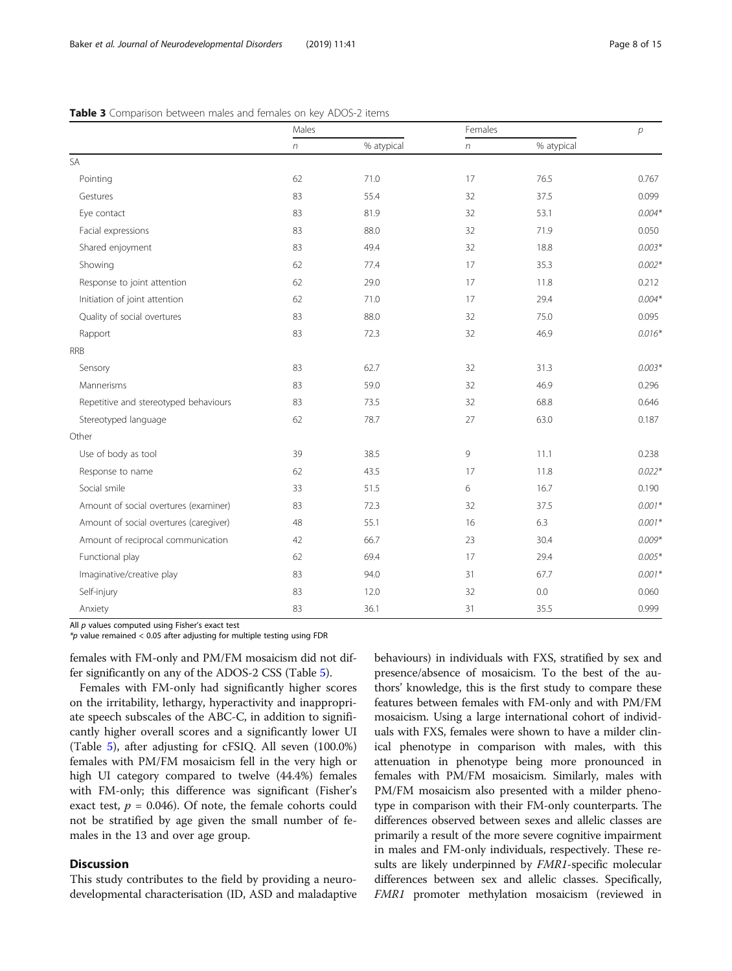|                                        | Males      |            | Females          | $\overline{p}$ |          |
|----------------------------------------|------------|------------|------------------|----------------|----------|
|                                        | $\sqrt{n}$ | % atypical | $\boldsymbol{n}$ | % atypical     |          |
| <b>SA</b>                              |            |            |                  |                |          |
| Pointing                               | 62         | 71.0       | 17               | 76.5           | 0.767    |
| Gestures                               | 83         | 55.4       | 32               | 37.5           | 0.099    |
| Eye contact                            | 83         | 81.9       | 32               | 53.1           | $0.004*$ |
| Facial expressions                     | 83         | 88.0       | 32               | 71.9           | 0.050    |
| Shared enjoyment                       | 83         | 49.4       | 32               | 18.8           | $0.003*$ |
| Showing                                | 62         | 77.4       | 17               | 35.3           | $0.002*$ |
| Response to joint attention            | 62         | 29.0       | 17               | 11.8           | 0.212    |
| Initiation of joint attention          | 62         | 71.0       | 17               | 29.4           | $0.004*$ |
| Quality of social overtures            | 83         | 88.0       | 32               | 75.0           | 0.095    |
| Rapport                                | 83         | 72.3       | 32               | 46.9           | $0.016*$ |
| <b>RRB</b>                             |            |            |                  |                |          |
| Sensory                                | 83         | 62.7       | 32               | 31.3           | $0.003*$ |
| Mannerisms                             | 83         | 59.0       | 32               | 46.9           | 0.296    |
| Repetitive and stereotyped behaviours  | 83         | 73.5       | 32               | 68.8           | 0.646    |
| Stereotyped language                   | 62         | 78.7       | 27               | 63.0           | 0.187    |
| Other                                  |            |            |                  |                |          |
| Use of body as tool                    | 39         | 38.5       | 9                | 11.1           | 0.238    |
| Response to name                       | 62         | 43.5       | 17               | 11.8           | $0.022*$ |
| Social smile                           | 33         | 51.5       | 6                | 16.7           | 0.190    |
| Amount of social overtures (examiner)  | 83         | 72.3       | 32               | 37.5           | $0.001*$ |
| Amount of social overtures (caregiver) | 48         | 55.1       | 16               | 6.3            | $0.001*$ |
| Amount of reciprocal communication     | 42         | 66.7       | 23               | 30.4           | $0.009*$ |
| Functional play                        | 62         | 69.4       | 17               | 29.4           | $0.005*$ |
| Imaginative/creative play              | 83         | 94.0       | 31               | 67.7           | $0.001*$ |
| Self-injury                            | 83         | 12.0       | 32               | 0.0            | 0.060    |
| Anxiety                                | 83         | 36.1       | 31               | 35.5           | 0.999    |

<span id="page-7-0"></span>Table 3 Comparison between males and females on key ADOS-2 items

All  $p$  values computed using Fisher's exact test

 $*$ p value remained < 0.05 after adjusting for multiple testing using FDR

females with FM-only and PM/FM mosaicism did not differ significantly on any of the ADOS-2 CSS (Table [5](#page-8-0)).

Females with FM-only had significantly higher scores on the irritability, lethargy, hyperactivity and inappropriate speech subscales of the ABC-C, in addition to significantly higher overall scores and a significantly lower UI (Table [5\)](#page-8-0), after adjusting for cFSIQ. All seven (100.0%) females with PM/FM mosaicism fell in the very high or high UI category compared to twelve (44.4%) females with FM-only; this difference was significant (Fisher's exact test,  $p = 0.046$ . Of note, the female cohorts could not be stratified by age given the small number of females in the 13 and over age group.

# **Discussion**

This study contributes to the field by providing a neurodevelopmental characterisation (ID, ASD and maladaptive behaviours) in individuals with FXS, stratified by sex and presence/absence of mosaicism. To the best of the authors' knowledge, this is the first study to compare these features between females with FM-only and with PM/FM mosaicism. Using a large international cohort of individuals with FXS, females were shown to have a milder clinical phenotype in comparison with males, with this attenuation in phenotype being more pronounced in females with PM/FM mosaicism. Similarly, males with PM/FM mosaicism also presented with a milder phenotype in comparison with their FM-only counterparts. The differences observed between sexes and allelic classes are primarily a result of the more severe cognitive impairment in males and FM-only individuals, respectively. These results are likely underpinned by *FMR1*-specific molecular differences between sex and allelic classes. Specifically, FMR1 promoter methylation mosaicism (reviewed in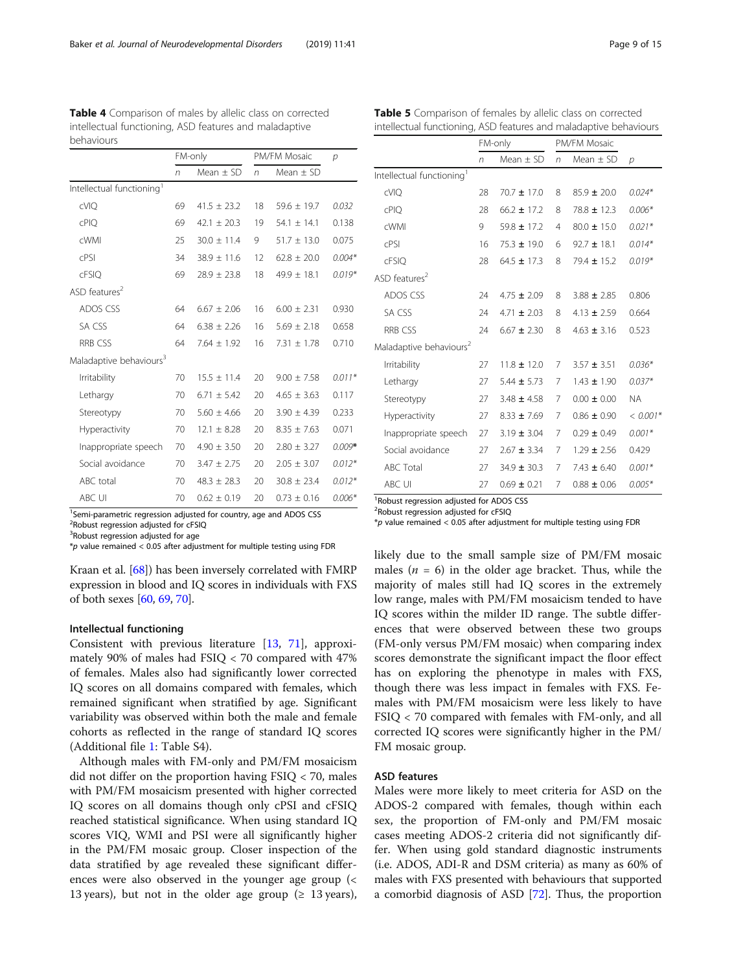|                                       | FM-only |                 | PM/FM Mosaic |                 | $\mathcal{D}$ |
|---------------------------------------|---------|-----------------|--------------|-----------------|---------------|
|                                       | n       | Mean $\pm$ SD   | $\sqrt{n}$   | Mean $\pm$ SD   |               |
| Intellectual functioning <sup>1</sup> |         |                 |              |                 |               |
| cVIQ                                  | 69      | $41.5 \pm 23.2$ | 18           | $59.6 + 19.7$   | 0.032         |
| cPIO                                  | 69      | $42.1 \pm 20.3$ | 19           | $54.1 \pm 14.1$ | 0.138         |
| cWMI                                  | 25      | $30.0 \pm 11.4$ | 9            | $51.7 \pm 13.0$ | 0.075         |
| cPSI                                  | 34      | $38.9 \pm 11.6$ | 12           | $62.8 \pm 20.0$ | $0.004*$      |
| cFSIQ                                 | 69      | $28.9 \pm 23.8$ | 18           | $49.9 \pm 18.1$ | $0.019*$      |
| $ASD$ features <sup>2</sup>           |         |                 |              |                 |               |
| ADOS CSS                              | 64      | $6.67 \pm 2.06$ | 16           | $6.00 \pm 2.31$ | 0.930         |
| <b>SA CSS</b>                         | 64      | $6.38 \pm 2.26$ | 16           | $5.69 \pm 2.18$ | 0.658         |
| <b>RRB CSS</b>                        | 64      | $7.64 \pm 1.92$ | 16           | $7.31 \pm 1.78$ | 0.710         |
| Maladaptive behaviours <sup>3</sup>   |         |                 |              |                 |               |
| Irritability                          | 70      | $15.5 \pm 11.4$ | 20           | $9.00 \pm 7.58$ | $0.011*$      |
| Lethargy                              | 70      | $6.71 \pm 5.42$ | 20           | $4.65 \pm 3.63$ | 0.117         |
| Stereotypy                            | 70      | $5.60 \pm 4.66$ | 20           | $3.90 \pm 4.39$ | 0.233         |
| Hyperactivity                         | 70      | $12.1 \pm 8.28$ | 20           | $8.35 \pm 7.63$ | 0.071         |
| Inappropriate speech                  | 70      | $4.90 \pm 3.50$ | 20           | $2.80 \pm 3.27$ | $0.009*$      |
| Social avoidance                      | 70      | $3.47 \pm 2.75$ | 20           | $2.05 \pm 3.07$ | $0.012*$      |
| ABC total                             | 70      | $48.3 \pm 28.3$ | 20           | $30.8 \pm 23.4$ | $0.012*$      |
| ABC UI                                | 70      | $0.62 \pm 0.19$ | 20           | $0.73 \pm 0.16$ | $0.006*$      |

<span id="page-8-0"></span>Table 4 Comparison of males by allelic class on corrected intellectual functioning, ASD features and maladaptive behaviours

<sup>2</sup>Robust regression adjusted for cFSIQ

3 Robust regression adjusted for age

 $*p$  value remained < 0.05 after adjustment for multiple testing using FDR

Kraan et al. [\[68\]](#page-14-0)) has been inversely correlated with FMRP expression in blood and IQ scores in individuals with FXS of both sexes [[60](#page-13-0), [69,](#page-14-0) [70\]](#page-14-0).

#### Intellectual functioning

Consistent with previous literature [[13,](#page-12-0) [71\]](#page-14-0), approximately 90% of males had FSIQ < 70 compared with 47% of females. Males also had significantly lower corrected IQ scores on all domains compared with females, which remained significant when stratified by age. Significant variability was observed within both the male and female cohorts as reflected in the range of standard IQ scores (Additional file [1](#page-11-0): Table S4).

Although males with FM-only and PM/FM mosaicism did not differ on the proportion having FSIQ < 70, males with PM/FM mosaicism presented with higher corrected IQ scores on all domains though only cPSI and cFSIQ reached statistical significance. When using standard IQ scores VIQ, WMI and PSI were all significantly higher in the PM/FM mosaic group. Closer inspection of the data stratified by age revealed these significant differences were also observed in the younger age group (< 13 years), but not in the older age group ( $\geq 13$  years),

|                                       | FM-only    |                 | PM/FM Mosaic   |                 |               |  |
|---------------------------------------|------------|-----------------|----------------|-----------------|---------------|--|
|                                       | $\sqrt{n}$ | Mean $\pm$ SD   | $\sqrt{n}$     | Mean $\pm$ SD   | $\mathcal{D}$ |  |
| Intellectual functioning <sup>1</sup> |            |                 |                |                 |               |  |
| cVIQ                                  | 28         | $70.7 \pm 17.0$ | 8              | $85.9 \pm 20.0$ | $0.024*$      |  |
| cPIO                                  | 28         | $66.2 \pm 17.2$ | 8              | $78.8 \pm 12.3$ | $0.006*$      |  |
| cWMI                                  | 9          | $59.8 \pm 17.2$ | $\overline{4}$ | $80.0 \pm 15.0$ | $0.021*$      |  |
| cPSI                                  | 16         | $75.3 \pm 19.0$ | 6              | $92.7 \pm 18.1$ | $0.014*$      |  |
| cFSIQ                                 | 28         | $64.5 \pm 17.3$ | 8              | 79.4 $\pm$ 15.2 | $0.019*$      |  |
| ASD features <sup>2</sup>             |            |                 |                |                 |               |  |
| ADOS CSS                              | 24         | $4.75 \pm 2.09$ | 8              | $3.88 \pm 2.85$ | 0.806         |  |
| <b>SA CSS</b>                         | 24         | $4.71 \pm 2.03$ | 8              | $4.13 \pm 2.59$ | 0.664         |  |
| RRB CSS                               | 24         | $6.67 \pm 2.30$ | 8              | $4.63 \pm 3.16$ | 0.523         |  |
| Maladaptive behaviours <sup>2</sup>   |            |                 |                |                 |               |  |
| Irritability                          | 27         | $11.8 \pm 12.0$ | 7              | $3.57 \pm 3.51$ | $0.036*$      |  |
| Lethargy                              | 27         | $5.44 \pm 5.73$ | 7              | $1.43 \pm 1.90$ | $0.037*$      |  |
| Stereotypy                            | 27         | $3.48 \pm 4.58$ | 7              | $0.00 \pm 0.00$ | <b>NA</b>     |  |
| Hyperactivity                         | 27         | $8.33 \pm 7.69$ | 7              | $0.86 \pm 0.90$ | $< 0.001*$    |  |
| Inappropriate speech                  | 27         | $3.19 \pm 3.04$ | 7              | $0.29 \pm 0.49$ | $0.001*$      |  |
| Social avoidance                      | 27         | $2.67 \pm 3.34$ | 7              | $1.29 \pm 2.56$ | 0.429         |  |
| <b>ABC Total</b>                      | 27         | $34.9 \pm 30.3$ | 7              | 7.43 $\pm$ 6.40 | $0.001*$      |  |
| ABC UI                                | 27         | $0.69 \pm 0.21$ | 7              | $0.88 \pm 0.06$ | $0.005*$      |  |

Table 5 Comparison of females by allelic class on corrected intellectual functioning, ASD features and maladaptive behaviours

1 Robust regression adjusted for ADOS CSS

2 Robust regression adjusted for cFSIQ

 $*p$  value remained < 0.05 after adjustment for multiple testing using FDR

likely due to the small sample size of PM/FM mosaic males ( $n = 6$ ) in the older age bracket. Thus, while the majority of males still had IQ scores in the extremely low range, males with PM/FM mosaicism tended to have IQ scores within the milder ID range. The subtle differences that were observed between these two groups (FM-only versus PM/FM mosaic) when comparing index scores demonstrate the significant impact the floor effect has on exploring the phenotype in males with FXS, though there was less impact in females with FXS. Females with PM/FM mosaicism were less likely to have FSIQ < 70 compared with females with FM-only, and all corrected IQ scores were significantly higher in the PM/ FM mosaic group.

# ASD features

Males were more likely to meet criteria for ASD on the ADOS-2 compared with females, though within each sex, the proportion of FM-only and PM/FM mosaic cases meeting ADOS-2 criteria did not significantly differ. When using gold standard diagnostic instruments (i.e. ADOS, ADI-R and DSM criteria) as many as 60% of males with FXS presented with behaviours that supported a comorbid diagnosis of ASD [\[72](#page-14-0)]. Thus, the proportion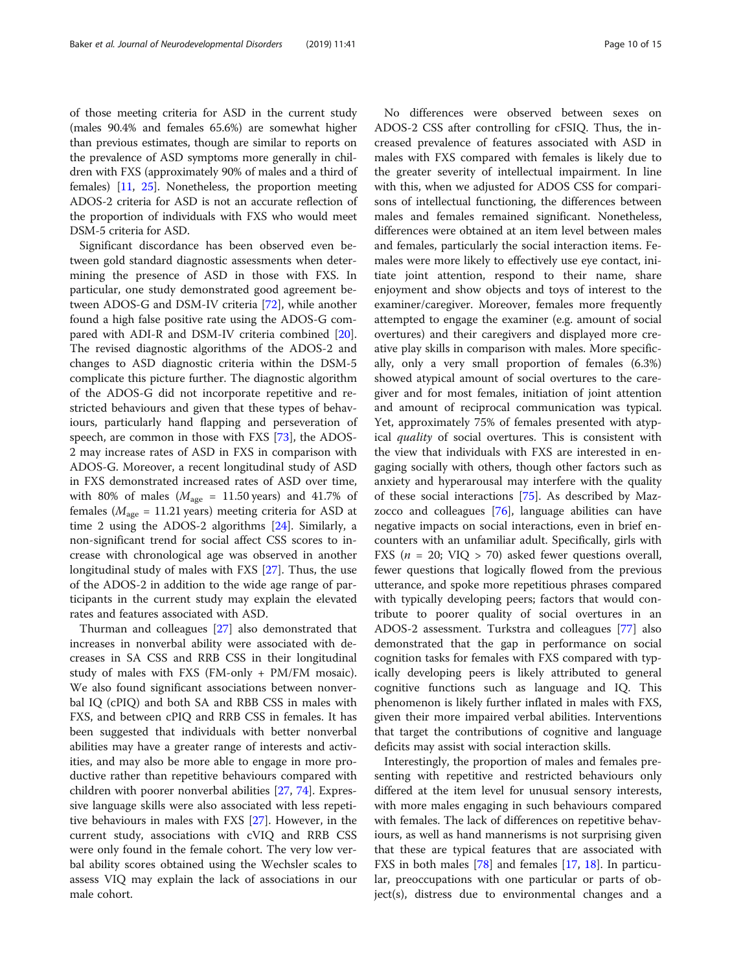of those meeting criteria for ASD in the current study (males 90.4% and females 65.6%) are somewhat higher than previous estimates, though are similar to reports on the prevalence of ASD symptoms more generally in children with FXS (approximately 90% of males and a third of females) [\[11,](#page-12-0) [25\]](#page-13-0). Nonetheless, the proportion meeting ADOS-2 criteria for ASD is not an accurate reflection of the proportion of individuals with FXS who would meet DSM-5 criteria for ASD.

Significant discordance has been observed even between gold standard diagnostic assessments when determining the presence of ASD in those with FXS. In particular, one study demonstrated good agreement between ADOS-G and DSM-IV criteria [[72\]](#page-14-0), while another found a high false positive rate using the ADOS-G compared with ADI-R and DSM-IV criteria combined [\[20](#page-13-0)]. The revised diagnostic algorithms of the ADOS-2 and changes to ASD diagnostic criteria within the DSM-5 complicate this picture further. The diagnostic algorithm of the ADOS-G did not incorporate repetitive and restricted behaviours and given that these types of behaviours, particularly hand flapping and perseveration of speech, are common in those with FXS [[73\]](#page-14-0), the ADOS-2 may increase rates of ASD in FXS in comparison with ADOS-G. Moreover, a recent longitudinal study of ASD in FXS demonstrated increased rates of ASD over time, with 80% of males ( $M_{\text{age}} = 11.50 \text{ years}$ ) and 41.7% of females ( $M_{\text{age}} = 11.21$  years) meeting criteria for ASD at time 2 using the ADOS-2 algorithms [[24\]](#page-13-0). Similarly, a non-significant trend for social affect CSS scores to increase with chronological age was observed in another longitudinal study of males with FXS [\[27](#page-13-0)]. Thus, the use of the ADOS-2 in addition to the wide age range of participants in the current study may explain the elevated rates and features associated with ASD.

Thurman and colleagues [\[27](#page-13-0)] also demonstrated that increases in nonverbal ability were associated with decreases in SA CSS and RRB CSS in their longitudinal study of males with FXS (FM-only + PM/FM mosaic). We also found significant associations between nonverbal IQ (cPIQ) and both SA and RBB CSS in males with FXS, and between cPIQ and RRB CSS in females. It has been suggested that individuals with better nonverbal abilities may have a greater range of interests and activities, and may also be more able to engage in more productive rather than repetitive behaviours compared with children with poorer nonverbal abilities [\[27,](#page-13-0) [74](#page-14-0)]. Expressive language skills were also associated with less repetitive behaviours in males with FXS [[27](#page-13-0)]. However, in the current study, associations with cVIQ and RRB CSS were only found in the female cohort. The very low verbal ability scores obtained using the Wechsler scales to assess VIQ may explain the lack of associations in our male cohort.

No differences were observed between sexes on ADOS-2 CSS after controlling for cFSIQ. Thus, the increased prevalence of features associated with ASD in males with FXS compared with females is likely due to the greater severity of intellectual impairment. In line with this, when we adjusted for ADOS CSS for comparisons of intellectual functioning, the differences between males and females remained significant. Nonetheless, differences were obtained at an item level between males and females, particularly the social interaction items. Females were more likely to effectively use eye contact, initiate joint attention, respond to their name, share enjoyment and show objects and toys of interest to the examiner/caregiver. Moreover, females more frequently attempted to engage the examiner (e.g. amount of social overtures) and their caregivers and displayed more creative play skills in comparison with males. More specifically, only a very small proportion of females (6.3%) showed atypical amount of social overtures to the caregiver and for most females, initiation of joint attention and amount of reciprocal communication was typical. Yet, approximately 75% of females presented with atypical quality of social overtures. This is consistent with the view that individuals with FXS are interested in engaging socially with others, though other factors such as anxiety and hyperarousal may interfere with the quality of these social interactions [\[75](#page-14-0)]. As described by Mazzocco and colleagues [\[76](#page-14-0)], language abilities can have negative impacts on social interactions, even in brief encounters with an unfamiliar adult. Specifically, girls with FXS ( $n = 20$ ; VIQ > 70) asked fewer questions overall, fewer questions that logically flowed from the previous utterance, and spoke more repetitious phrases compared with typically developing peers; factors that would contribute to poorer quality of social overtures in an ADOS-2 assessment. Turkstra and colleagues [\[77\]](#page-14-0) also demonstrated that the gap in performance on social cognition tasks for females with FXS compared with typically developing peers is likely attributed to general cognitive functions such as language and IQ. This phenomenon is likely further inflated in males with FXS, given their more impaired verbal abilities. Interventions that target the contributions of cognitive and language deficits may assist with social interaction skills.

Interestingly, the proportion of males and females presenting with repetitive and restricted behaviours only differed at the item level for unusual sensory interests, with more males engaging in such behaviours compared with females. The lack of differences on repetitive behaviours, as well as hand mannerisms is not surprising given that these are typical features that are associated with FXS in both males [\[78](#page-14-0)] and females [\[17](#page-13-0), [18](#page-13-0)]. In particular, preoccupations with one particular or parts of object(s), distress due to environmental changes and a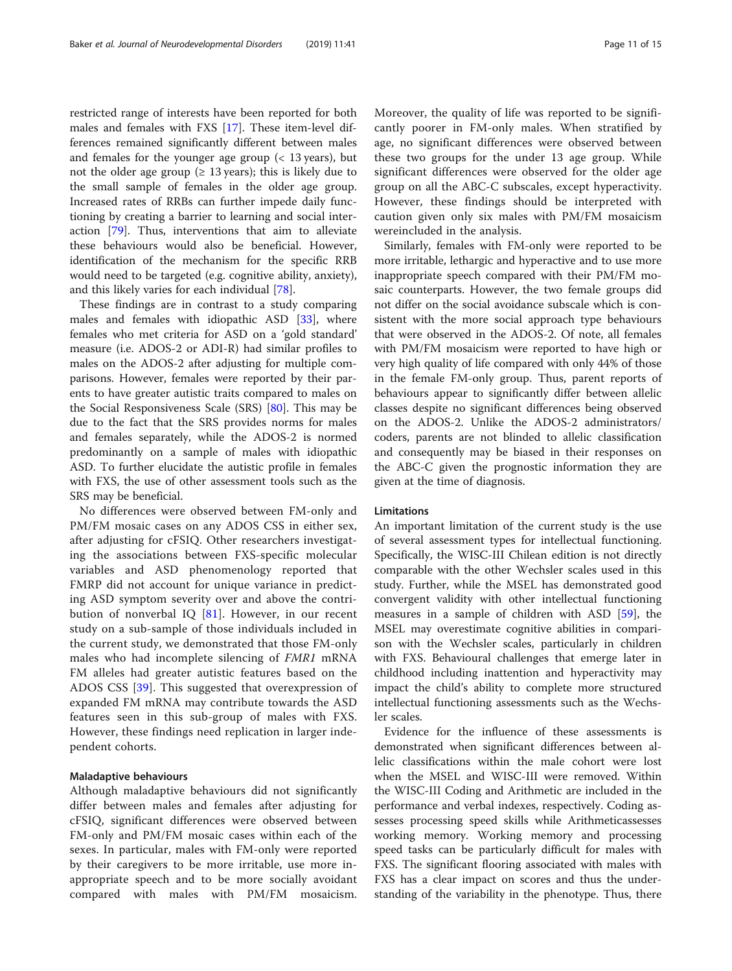restricted range of interests have been reported for both males and females with FXS [\[17\]](#page-13-0). These item-level differences remained significantly different between males and females for the younger age group (< 13 years), but not the older age group ( $\geq$  13 years); this is likely due to the small sample of females in the older age group. Increased rates of RRBs can further impede daily functioning by creating a barrier to learning and social interaction [[79\]](#page-14-0). Thus, interventions that aim to alleviate these behaviours would also be beneficial. However, identification of the mechanism for the specific RRB would need to be targeted (e.g. cognitive ability, anxiety), and this likely varies for each individual [\[78](#page-14-0)].

These findings are in contrast to a study comparing males and females with idiopathic ASD [\[33](#page-13-0)], where females who met criteria for ASD on a 'gold standard' measure (i.e. ADOS-2 or ADI-R) had similar profiles to males on the ADOS-2 after adjusting for multiple comparisons. However, females were reported by their parents to have greater autistic traits compared to males on the Social Responsiveness Scale (SRS) [\[80\]](#page-14-0). This may be due to the fact that the SRS provides norms for males and females separately, while the ADOS-2 is normed predominantly on a sample of males with idiopathic ASD. To further elucidate the autistic profile in females with FXS, the use of other assessment tools such as the SRS may be beneficial.

No differences were observed between FM-only and PM/FM mosaic cases on any ADOS CSS in either sex, after adjusting for cFSIQ. Other researchers investigating the associations between FXS-specific molecular variables and ASD phenomenology reported that FMRP did not account for unique variance in predicting ASD symptom severity over and above the contribution of nonverbal IQ [[81\]](#page-14-0). However, in our recent study on a sub-sample of those individuals included in the current study, we demonstrated that those FM-only males who had incomplete silencing of FMR1 mRNA FM alleles had greater autistic features based on the ADOS CSS [\[39](#page-13-0)]. This suggested that overexpression of expanded FM mRNA may contribute towards the ASD features seen in this sub-group of males with FXS. However, these findings need replication in larger independent cohorts.

# Maladaptive behaviours

Although maladaptive behaviours did not significantly differ between males and females after adjusting for cFSIQ, significant differences were observed between FM-only and PM/FM mosaic cases within each of the sexes. In particular, males with FM-only were reported by their caregivers to be more irritable, use more inappropriate speech and to be more socially avoidant compared with males with PM/FM mosaicism. Moreover, the quality of life was reported to be significantly poorer in FM-only males. When stratified by age, no significant differences were observed between these two groups for the under 13 age group. While significant differences were observed for the older age group on all the ABC-C subscales, except hyperactivity. However, these findings should be interpreted with caution given only six males with PM/FM mosaicism wereincluded in the analysis.

Similarly, females with FM-only were reported to be more irritable, lethargic and hyperactive and to use more inappropriate speech compared with their PM/FM mosaic counterparts. However, the two female groups did not differ on the social avoidance subscale which is consistent with the more social approach type behaviours that were observed in the ADOS-2. Of note, all females with PM/FM mosaicism were reported to have high or very high quality of life compared with only 44% of those in the female FM-only group. Thus, parent reports of behaviours appear to significantly differ between allelic classes despite no significant differences being observed on the ADOS-2. Unlike the ADOS-2 administrators/ coders, parents are not blinded to allelic classification and consequently may be biased in their responses on the ABC-C given the prognostic information they are given at the time of diagnosis.

# Limitations

An important limitation of the current study is the use of several assessment types for intellectual functioning. Specifically, the WISC-III Chilean edition is not directly comparable with the other Wechsler scales used in this study. Further, while the MSEL has demonstrated good convergent validity with other intellectual functioning measures in a sample of children with ASD [[59](#page-13-0)], the MSEL may overestimate cognitive abilities in comparison with the Wechsler scales, particularly in children with FXS. Behavioural challenges that emerge later in childhood including inattention and hyperactivity may impact the child's ability to complete more structured intellectual functioning assessments such as the Wechsler scales.

Evidence for the influence of these assessments is demonstrated when significant differences between allelic classifications within the male cohort were lost when the MSEL and WISC-III were removed. Within the WISC-III Coding and Arithmetic are included in the performance and verbal indexes, respectively. Coding assesses processing speed skills while Arithmeticassesses working memory. Working memory and processing speed tasks can be particularly difficult for males with FXS. The significant flooring associated with males with FXS has a clear impact on scores and thus the understanding of the variability in the phenotype. Thus, there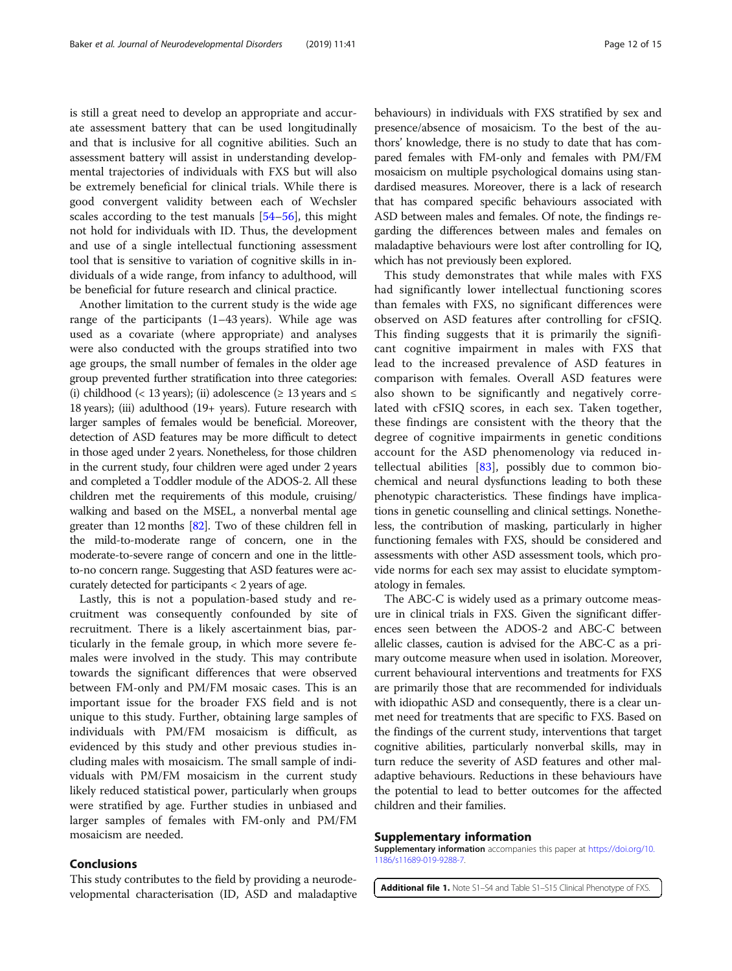<span id="page-11-0"></span>is still a great need to develop an appropriate and accurate assessment battery that can be used longitudinally and that is inclusive for all cognitive abilities. Such an assessment battery will assist in understanding developmental trajectories of individuals with FXS but will also be extremely beneficial for clinical trials. While there is good convergent validity between each of Wechsler scales according to the test manuals [[54](#page-13-0)–[56](#page-13-0)], this might not hold for individuals with ID. Thus, the development and use of a single intellectual functioning assessment tool that is sensitive to variation of cognitive skills in individuals of a wide range, from infancy to adulthood, will be beneficial for future research and clinical practice.

Another limitation to the current study is the wide age range of the participants (1–43 years). While age was used as a covariate (where appropriate) and analyses were also conducted with the groups stratified into two age groups, the small number of females in the older age group prevented further stratification into three categories: (i) childhood (< 13 years); (ii) adolescence ( $\geq$  13 years and  $\leq$ 18 years); (iii) adulthood (19+ years). Future research with larger samples of females would be beneficial. Moreover, detection of ASD features may be more difficult to detect in those aged under 2 years. Nonetheless, for those children in the current study, four children were aged under 2 years and completed a Toddler module of the ADOS-2. All these children met the requirements of this module, cruising/ walking and based on the MSEL, a nonverbal mental age greater than 12 months [[82](#page-14-0)]. Two of these children fell in the mild-to-moderate range of concern, one in the moderate-to-severe range of concern and one in the littleto-no concern range. Suggesting that ASD features were accurately detected for participants < 2 years of age.

Lastly, this is not a population-based study and recruitment was consequently confounded by site of recruitment. There is a likely ascertainment bias, particularly in the female group, in which more severe females were involved in the study. This may contribute towards the significant differences that were observed between FM-only and PM/FM mosaic cases. This is an important issue for the broader FXS field and is not unique to this study. Further, obtaining large samples of individuals with PM/FM mosaicism is difficult, as evidenced by this study and other previous studies including males with mosaicism. The small sample of individuals with PM/FM mosaicism in the current study likely reduced statistical power, particularly when groups were stratified by age. Further studies in unbiased and larger samples of females with FM-only and PM/FM mosaicism are needed.

# Conclusions

This study contributes to the field by providing a neurodevelopmental characterisation (ID, ASD and maladaptive

behaviours) in individuals with FXS stratified by sex and presence/absence of mosaicism. To the best of the authors' knowledge, there is no study to date that has compared females with FM-only and females with PM/FM mosaicism on multiple psychological domains using standardised measures. Moreover, there is a lack of research that has compared specific behaviours associated with ASD between males and females. Of note, the findings regarding the differences between males and females on maladaptive behaviours were lost after controlling for IQ, which has not previously been explored.

This study demonstrates that while males with FXS had significantly lower intellectual functioning scores than females with FXS, no significant differences were observed on ASD features after controlling for cFSIQ. This finding suggests that it is primarily the significant cognitive impairment in males with FXS that lead to the increased prevalence of ASD features in comparison with females. Overall ASD features were also shown to be significantly and negatively correlated with cFSIQ scores, in each sex. Taken together, these findings are consistent with the theory that the degree of cognitive impairments in genetic conditions account for the ASD phenomenology via reduced intellectual abilities [\[83](#page-14-0)], possibly due to common biochemical and neural dysfunctions leading to both these phenotypic characteristics. These findings have implications in genetic counselling and clinical settings. Nonetheless, the contribution of masking, particularly in higher functioning females with FXS, should be considered and assessments with other ASD assessment tools, which provide norms for each sex may assist to elucidate symptomatology in females.

The ABC-C is widely used as a primary outcome measure in clinical trials in FXS. Given the significant differences seen between the ADOS-2 and ABC-C between allelic classes, caution is advised for the ABC-C as a primary outcome measure when used in isolation. Moreover, current behavioural interventions and treatments for FXS are primarily those that are recommended for individuals with idiopathic ASD and consequently, there is a clear unmet need for treatments that are specific to FXS. Based on the findings of the current study, interventions that target cognitive abilities, particularly nonverbal skills, may in turn reduce the severity of ASD features and other maladaptive behaviours. Reductions in these behaviours have the potential to lead to better outcomes for the affected children and their families.

#### Supplementary information

Supplementary information accompanies this paper at [https://doi.org/10.](https://doi.org/10.1186/s11689-019-9288-7) [1186/s11689-019-9288-7.](https://doi.org/10.1186/s11689-019-9288-7)

Additional file 1. Note S1-S4 and Table S1-S15 Clinical Phenotype of FXS.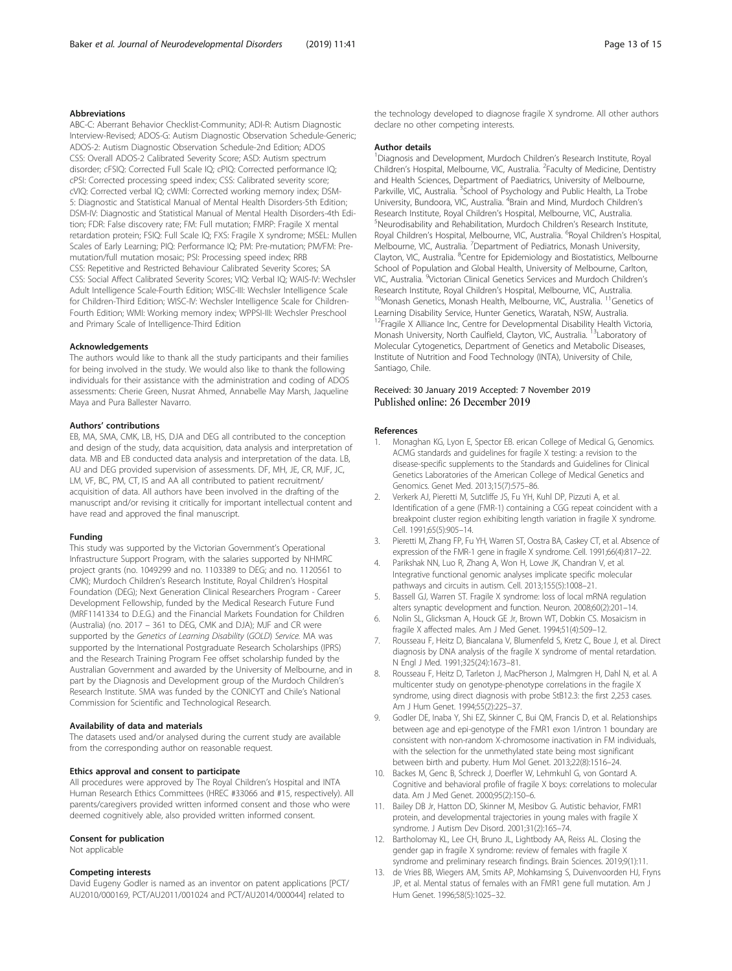# <span id="page-12-0"></span>Abbreviations

ABC-C: Aberrant Behavior Checklist-Community; ADI-R: Autism Diagnostic Interview-Revised; ADOS-G: Autism Diagnostic Observation Schedule-Generic; ADOS-2: Autism Diagnostic Observation Schedule-2nd Edition; ADOS CSS: Overall ADOS-2 Calibrated Severity Score; ASD: Autism spectrum disorder; cFSIQ: Corrected Full Scale IQ; cPIQ: Corrected performance IQ; cPSI: Corrected processing speed index; CSS: Calibrated severity score; cVIQ: Corrected verbal IQ; cWMI: Corrected working memory index; DSM-5: Diagnostic and Statistical Manual of Mental Health Disorders-5th Edition; DSM-IV: Diagnostic and Statistical Manual of Mental Health Disorders-4th Edition; FDR: False discovery rate; FM: Full mutation; FMRP: Fragile X mental retardation protein; FSIQ: Full Scale IQ; FXS: Fragile X syndrome; MSEL: Mullen Scales of Early Learning; PIQ: Performance IQ; PM: Pre-mutation; PM/FM: Premutation/full mutation mosaic; PSI: Processing speed index; RRB CSS: Repetitive and Restricted Behaviour Calibrated Severity Scores; SA CSS: Social Affect Calibrated Severity Scores; VIQ: Verbal IQ; WAIS-IV: Wechsler Adult Intelligence Scale-Fourth Edition; WISC-III: Wechsler Intelligence Scale for Children-Third Edition; WISC-IV: Wechsler Intelligence Scale for Children-Fourth Edition; WMI: Working memory index; WPPSI-III: Wechsler Preschool and Primary Scale of Intelligence-Third Edition

#### Acknowledgements

The authors would like to thank all the study participants and their families for being involved in the study. We would also like to thank the following individuals for their assistance with the administration and coding of ADOS assessments: Cherie Green, Nusrat Ahmed, Annabelle May Marsh, Jaqueline Maya and Pura Ballester Navarro.

#### Authors' contributions

EB, MA, SMA, CMK, LB, HS, DJA and DEG all contributed to the conception and design of the study, data acquisition, data analysis and interpretation of data. MB and EB conducted data analysis and interpretation of the data. LB, AU and DEG provided supervision of assessments. DF, MH, JE, CR, MJF, JC, LM, VF, BC, PM, CT, IS and AA all contributed to patient recruitment/ acquisition of data. All authors have been involved in the drafting of the manuscript and/or revising it critically for important intellectual content and have read and approved the final manuscript.

#### Funding

This study was supported by the Victorian Government's Operational Infrastructure Support Program, with the salaries supported by NHMRC project grants (no. 1049299 and no. 1103389 to DEG; and no. 1120561 to CMK); Murdoch Children's Research Institute, Royal Children's Hospital Foundation (DEG); Next Generation Clinical Researchers Program - Career Development Fellowship, funded by the Medical Research Future Fund (MRF1141334 to D.E.G.) and the Financial Markets Foundation for Children (Australia) (no. 2017 – 361 to DEG, CMK and DJA); MJF and CR were supported by the Genetics of Learning Disability (GOLD) Service. MA was supported by the International Postgraduate Research Scholarships (IPRS) and the Research Training Program Fee offset scholarship funded by the Australian Government and awarded by the University of Melbourne, and in part by the Diagnosis and Development group of the Murdoch Children's Research Institute. SMA was funded by the CONICYT and Chile's National Commission for Scientific and Technological Research.

#### Availability of data and materials

The datasets used and/or analysed during the current study are available from the corresponding author on reasonable request.

# Ethics approval and consent to participate

All procedures were approved by The Royal Children's Hospital and INTA Human Research Ethics Committees (HREC #33066 and #15, respectively). All parents/caregivers provided written informed consent and those who were deemed cognitively able, also provided written informed consent.

#### Consent for publication

Not applicable

#### Competing interests

David Eugeny Godler is named as an inventor on patent applications [PCT/ AU2010/000169, PCT/AU2011/001024 and PCT/AU2014/000044] related to

the technology developed to diagnose fragile X syndrome. All other authors declare no other competing interests.

#### Author details

<sup>1</sup>Diagnosis and Development, Murdoch Children's Research Institute, Royal Children's Hospital, Melbourne, VIC, Australia. <sup>2</sup> Faculty of Medicine, Dentistry and Health Sciences, Department of Paediatrics, University of Melbourne, Parkville, VIC, Australia. <sup>3</sup>School of Psychology and Public Health, La Trobe University, Bundoora, VIC, Australia. <sup>4</sup> Brain and Mind, Murdoch Children's Research Institute, Royal Children's Hospital, Melbourne, VIC, Australia <sup>5</sup>Neurodisability and Rehabilitation, Murdoch Children's Research Institute, Royal Children's Hospital, Melbourne, VIC, Australia. <sup>6</sup>Royal Children's Hospital, Melbourne, VIC, Australia. <sup>7</sup> Department of Pediatrics, Monash University, Clayton, VIC, Australia. <sup>8</sup>Centre for Epidemiology and Biostatistics, Melbourne School of Population and Global Health, University of Melbourne, Carlton, VIC, Australia. <sup>9</sup>Victorian Clinical Genetics Services and Murdoch Children's Research Institute, Royal Children's Hospital, Melbourne, VIC, Australia.<br><sup>10</sup>Monash Genetics, Monash Health, Melbourne, VIC, Australia. <sup>11</sup>Genetics of Learning Disability Service, Hunter Genetics, Waratah, NSW, Australia. <sup>12</sup>Fragile X Alliance Inc, Centre for Developmental Disability Health Victoria, Monash University, North Caulfield, Clayton, VIC, Australia. <sup>13</sup>Laboratory of Molecular Cytogenetics, Department of Genetics and Metabolic Diseases, Institute of Nutrition and Food Technology (INTA), University of Chile, Santiago, Chile.

# Received: 30 January 2019 Accepted: 7 November 2019 Published online: 26 December 2019

#### References

- 1. Monaghan KG, Lyon E, Spector EB. erican College of Medical G, Genomics. ACMG standards and guidelines for fragile X testing: a revision to the disease-specific supplements to the Standards and Guidelines for Clinical Genetics Laboratories of the American College of Medical Genetics and Genomics. Genet Med. 2013;15(7):575–86.
- 2. Verkerk AJ, Pieretti M, Sutcliffe JS, Fu YH, Kuhl DP, Pizzuti A, et al. Identification of a gene (FMR-1) containing a CGG repeat coincident with a breakpoint cluster region exhibiting length variation in fragile X syndrome. Cell. 1991;65(5):905–14.
- 3. Pieretti M, Zhang FP, Fu YH, Warren ST, Oostra BA, Caskey CT, et al. Absence of expression of the FMR-1 gene in fragile X syndrome. Cell. 1991;66(4):817–22.
- Parikshak NN, Luo R, Zhang A, Won H, Lowe JK, Chandran V, et al. Integrative functional genomic analyses implicate specific molecular pathways and circuits in autism. Cell. 2013;155(5):1008–21.
- 5. Bassell GJ, Warren ST. Fragile X syndrome: loss of local mRNA regulation alters synaptic development and function. Neuron. 2008;60(2):201–14.
- 6. Nolin SL, Glicksman A, Houck GE Jr, Brown WT, Dobkin CS. Mosaicism in fragile X affected males. Am J Med Genet. 1994;51(4):509–12.
- 7. Rousseau F, Heitz D, Biancalana V, Blumenfeld S, Kretz C, Boue J, et al. Direct diagnosis by DNA analysis of the fragile X syndrome of mental retardation. N Engl J Med. 1991;325(24):1673–81.
- 8. Rousseau F, Heitz D, Tarleton J, MacPherson J, Malmgren H, Dahl N, et al. A multicenter study on genotype-phenotype correlations in the fragile X syndrome, using direct diagnosis with probe StB12.3: the first 2,253 cases. Am J Hum Genet. 1994;55(2):225–37.
- 9. Godler DE, Inaba Y, Shi EZ, Skinner C, Bui QM, Francis D, et al. Relationships between age and epi-genotype of the FMR1 exon 1/intron 1 boundary are consistent with non-random X-chromosome inactivation in FM individuals, with the selection for the unmethylated state being most significant between birth and puberty. Hum Mol Genet. 2013;22(8):1516–24.
- 10. Backes M, Genc B, Schreck J, Doerfler W, Lehmkuhl G, von Gontard A. Cognitive and behavioral profile of fragile X boys: correlations to molecular data. Am J Med Genet. 2000;95(2):150–6.
- 11. Bailey DB Jr, Hatton DD, Skinner M, Mesibov G. Autistic behavior, FMR1 protein, and developmental trajectories in young males with fragile X syndrome. J Autism Dev Disord. 2001;31(2):165–74.
- 12. Bartholomay KL, Lee CH, Bruno JL, Lightbody AA, Reiss AL. Closing the gender gap in fragile X syndrome: review of females with fragile X syndrome and preliminary research findings. Brain Sciences. 2019;9(1):11.
- 13. de Vries BB, Wiegers AM, Smits AP, Mohkamsing S, Duivenvoorden HJ, Fryns JP, et al. Mental status of females with an FMR1 gene full mutation. Am J Hum Genet. 1996;58(5):1025–32.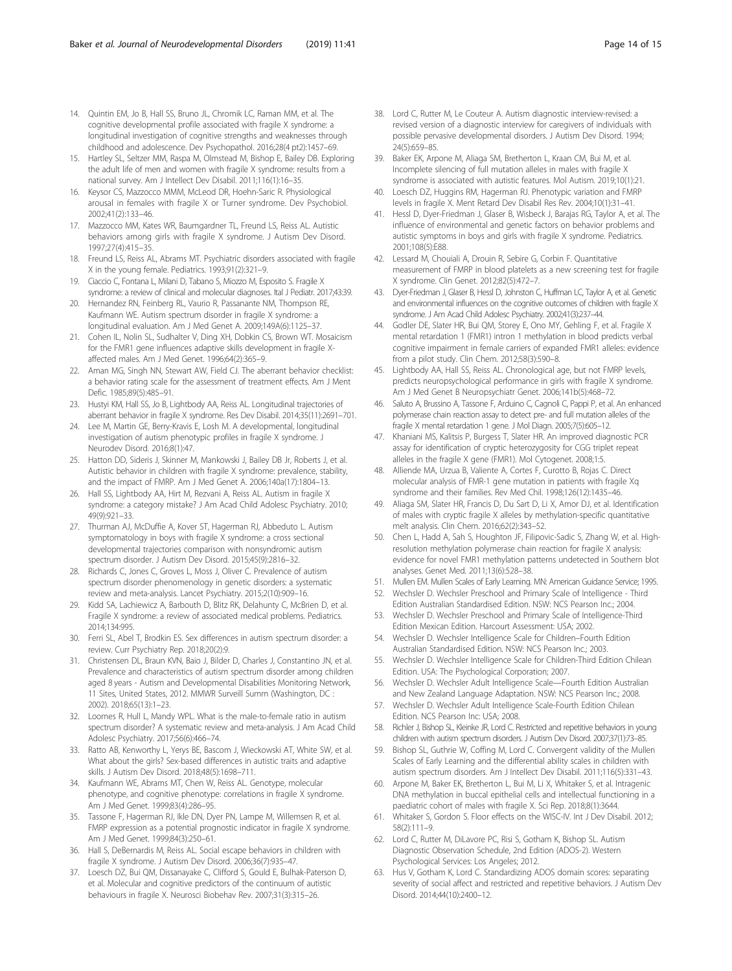- <span id="page-13-0"></span>14. Quintin EM, Jo B, Hall SS, Bruno JL, Chromik LC, Raman MM, et al. The cognitive developmental profile associated with fragile X syndrome: a longitudinal investigation of cognitive strengths and weaknesses through childhood and adolescence. Dev Psychopathol. 2016;28(4 pt2):1457–69.
- 15. Hartley SL, Seltzer MM, Raspa M, Olmstead M, Bishop E, Bailey DB. Exploring the adult life of men and women with fragile X syndrome: results from a national survey. Am J Intellect Dev Disabil. 2011;116(1):16–35.
- 16. Keysor CS, Mazzocco MMM, McLeod DR, Hoehn-Saric R. Physiological arousal in females with fragile X or Turner syndrome. Dev Psychobiol. 2002;41(2):133–46.
- 17. Mazzocco MM, Kates WR, Baumgardner TL, Freund LS, Reiss AL. Autistic behaviors among girls with fragile X syndrome. J Autism Dev Disord. 1997;27(4):415–35.
- 18. Freund LS, Reiss AL, Abrams MT. Psychiatric disorders associated with fragile X in the young female. Pediatrics. 1993;91(2):321–9.
- 19. Ciaccio C, Fontana L, Milani D, Tabano S, Miozzo M, Esposito S. Fragile X syndrome: a review of clinical and molecular diagnoses. Ital J Pediatr. 2017;43:39.
- 20. Hernandez RN, Feinberg RL, Vaurio R, Passanante NM, Thompson RE, Kaufmann WE. Autism spectrum disorder in fragile X syndrome: a longitudinal evaluation. Am J Med Genet A. 2009;149A(6):1125–37.
- 21. Cohen IL, Nolin SL, Sudhalter V, Ding XH, Dobkin CS, Brown WT. Mosaicism for the FMR1 gene influences adaptive skills development in fragile Xaffected males. Am J Med Genet. 1996;64(2):365–9.
- 22. Aman MG, Singh NN, Stewart AW, Field CJ. The aberrant behavior checklist: a behavior rating scale for the assessment of treatment effects. Am J Ment Defic. 1985;89(5):485–91.
- 23. Hustyi KM, Hall SS, Jo B, Lightbody AA, Reiss AL. Longitudinal trajectories of aberrant behavior in fragile X syndrome. Res Dev Disabil. 2014;35(11):2691–701.
- 24. Lee M, Martin GE, Berry-Kravis E, Losh M. A developmental, longitudinal investigation of autism phenotypic profiles in fragile X syndrome. J Neurodev Disord. 2016;8(1):47.
- 25. Hatton DD, Sideris J, Skinner M, Mankowski J, Bailey DB Jr, Roberts J, et al. Autistic behavior in children with fragile X syndrome: prevalence, stability, and the impact of FMRP. Am J Med Genet A. 2006;140a(17):1804–13.
- 26. Hall SS, Lightbody AA, Hirt M, Rezvani A, Reiss AL. Autism in fragile X syndrome: a category mistake? J Am Acad Child Adolesc Psychiatry. 2010; 49(9):921–33.
- 27. Thurman AJ, McDuffie A, Kover ST, Hagerman RJ, Abbeduto L. Autism symptomatology in boys with fragile X syndrome: a cross sectional developmental trajectories comparison with nonsyndromic autism spectrum disorder. J Autism Dev Disord. 2015;45(9):2816–32.
- 28. Richards C, Jones C, Groves L, Moss J, Oliver C. Prevalence of autism spectrum disorder phenomenology in genetic disorders: a systematic review and meta-analysis. Lancet Psychiatry. 2015;2(10):909–16.
- 29. Kidd SA, Lachiewicz A, Barbouth D, Blitz RK, Delahunty C, McBrien D, et al. Fragile X syndrome: a review of associated medical problems. Pediatrics. 2014;134:995.
- 30. Ferri SL, Abel T, Brodkin ES. Sex differences in autism spectrum disorder: a review. Curr Psychiatry Rep. 2018;20(2):9.
- 31. Christensen DL, Braun KVN, Baio J, Bilder D, Charles J, Constantino JN, et al. Prevalence and characteristics of autism spectrum disorder among children aged 8 years - Autism and Developmental Disabilities Monitoring Network, 11 Sites, United States, 2012. MMWR Surveill Summ (Washington, DC : 2002). 2018;65(13):1–23.
- 32. Loomes R, Hull L, Mandy WPL. What is the male-to-female ratio in autism spectrum disorder? A systematic review and meta-analysis. J Am Acad Child Adolesc Psychiatry. 2017;56(6):466–74.
- 33. Ratto AB, Kenworthy L, Yerys BE, Bascom J, Wieckowski AT, White SW, et al. What about the girls? Sex-based differences in autistic traits and adaptive skills. J Autism Dev Disord. 2018;48(5):1698–711.
- 34. Kaufmann WE, Abrams MT, Chen W, Reiss AL. Genotype, molecular phenotype, and cognitive phenotype: correlations in fragile X syndrome. Am J Med Genet. 1999;83(4):286–95.
- 35. Tassone F, Hagerman RJ, Ikle DN, Dyer PN, Lampe M, Willemsen R, et al. FMRP expression as a potential prognostic indicator in fragile X syndrome. Am J Med Genet. 1999;84(3):250–61.
- 36. Hall S, DeBernardis M, Reiss AL. Social escape behaviors in children with fragile X syndrome. J Autism Dev Disord. 2006;36(7):935–47.
- 37. Loesch DZ, Bui QM, Dissanayake C, Clifford S, Gould E, Bulhak-Paterson D, et al. Molecular and cognitive predictors of the continuum of autistic behaviours in fragile X. Neurosci Biobehav Rev. 2007;31(3):315–26.
- 38. Lord C, Rutter M, Le Couteur A. Autism diagnostic interview-revised: a revised version of a diagnostic interview for caregivers of individuals with possible pervasive developmental disorders. J Autism Dev Disord. 1994; 24(5):659–85.
- 39. Baker EK, Arpone M, Aliaga SM, Bretherton L, Kraan CM, Bui M, et al. Incomplete silencing of full mutation alleles in males with fragile X syndrome is associated with autistic features. Mol Autism. 2019;10(1):21.
- 40. Loesch DZ, Huggins RM, Hagerman RJ. Phenotypic variation and FMRP levels in fragile X. Ment Retard Dev Disabil Res Rev. 2004;10(1):31–41.
- 41. Hessl D, Dyer-Friedman J, Glaser B, Wisbeck J, Barajas RG, Taylor A, et al. The influence of environmental and genetic factors on behavior problems and autistic symptoms in boys and girls with fragile X syndrome. Pediatrics. 2001;108(5):E88.
- 42. Lessard M, Chouiali A, Drouin R, Sebire G, Corbin F. Quantitative measurement of FMRP in blood platelets as a new screening test for fragile X syndrome. Clin Genet. 2012;82(5):472–7.
- 43. Dyer-Friedman J, Glaser B, Hessl D, Johnston C, Huffman LC, Taylor A, et al. Genetic and environmental influences on the cognitive outcomes of children with fragile X syndrome. J Am Acad Child Adolesc Psychiatry. 2002;41(3):237–44.
- 44. Godler DE, Slater HR, Bui QM, Storey E, Ono MY, Gehling F, et al. Fragile X mental retardation 1 (FMR1) intron 1 methylation in blood predicts verbal cognitive impairment in female carriers of expanded FMR1 alleles: evidence from a pilot study. Clin Chem. 2012;58(3):590–8.
- 45. Lightbody AA, Hall SS, Reiss AL. Chronological age, but not FMRP levels, predicts neuropsychological performance in girls with fragile X syndrome. Am J Med Genet B Neuropsychiatr Genet. 2006;141b(5):468–72.
- 46. Saluto A, Brussino A, Tassone F, Arduino C, Cagnoli C, Pappi P, et al. An enhanced polymerase chain reaction assay to detect pre- and full mutation alleles of the fragile X mental retardation 1 gene. J Mol Diagn. 2005;7(5):605–12.
- 47. Khaniani MS, Kalitsis P, Burgess T, Slater HR. An improved diagnostic PCR assay for identification of cryptic heterozygosity for CGG triplet repeat alleles in the fragile X gene (FMR1). Mol Cytogenet. 2008;1:5.
- 48. Alliende MA, Urzua B, Valiente A, Cortes F, Curotto B, Rojas C. Direct molecular analysis of FMR-1 gene mutation in patients with fragile Xq syndrome and their families. Rev Med Chil. 1998;126(12):1435–46.
- 49. Aliaga SM, Slater HR, Francis D, Du Sart D, Li X, Amor DJ, et al. Identification of males with cryptic fragile X alleles by methylation-specific quantitative melt analysis. Clin Chem. 2016;62(2):343–52.
- 50. Chen L, Hadd A, Sah S, Houghton JF, Filipovic-Sadic S, Zhang W, et al. Highresolution methylation polymerase chain reaction for fragile X analysis: evidence for novel FMR1 methylation patterns undetected in Southern blot analyses. Genet Med. 2011;13(6):528–38.
- Mullen EM. Mullen Scales of Early Learning. MN: American Guidance Service; 1995.
- 52. Wechsler D. Wechsler Preschool and Primary Scale of Intelligence Third Edition Australian Standardised Edition. NSW: NCS Pearson Inc.; 2004.
- 53. Wechsler D. Wechsler Preschool and Primary Scale of Intelligence-Third Edition Mexican Edition. Harcourt Assessment: USA; 2002.
- 54. Wechsler D. Wechsler Intelligence Scale for Children–Fourth Edition Australian Standardised Edition. NSW: NCS Pearson Inc.; 2003.
- 55. Wechsler D. Wechsler Intelligence Scale for Children-Third Edition Chilean Edition. USA: The Psychological Corporation; 2007.
- 56. Wechsler D. Wechsler Adult Intelligence Scale—Fourth Edition Australian and New Zealand Language Adaptation. NSW: NCS Pearson Inc.; 2008.
- 57. Wechsler D. Wechsler Adult Intelligence Scale-Fourth Edition Chilean Edition. NCS Pearson Inc: USA; 2008.
- 58. Richler J, Bishop SL, Kleinke JR, Lord C. Restricted and repetitive behaviors in young children with autism spectrum disorders. J Autism Dev Disord. 2007;37(1):73–85.
- 59. Bishop SL, Guthrie W, Coffing M, Lord C. Convergent validity of the Mullen Scales of Early Learning and the differential ability scales in children with autism spectrum disorders. Am J Intellect Dev Disabil. 2011;116(5):331–43.
- 60. Arpone M, Baker EK, Bretherton L, Bui M, Li X, Whitaker S, et al. Intragenic DNA methylation in buccal epithelial cells and intellectual functioning in a paediatric cohort of males with fragile X. Sci Rep. 2018;8(1):3644.
- 61. Whitaker S, Gordon S. Floor effects on the WISC-IV. Int J Dev Disabil. 2012; 58(2):111–9.
- 62. Lord C, Rutter M, DiLavore PC, Risi S, Gotham K, Bishop SL. Autism Diagnostic Observation Schedule, 2nd Edition (ADOS-2). Western Psychological Services: Los Angeles; 2012.
- 63. Hus V, Gotham K, Lord C. Standardizing ADOS domain scores: separating severity of social affect and restricted and repetitive behaviors. J Autism Dev Disord. 2014;44(10):2400–12.